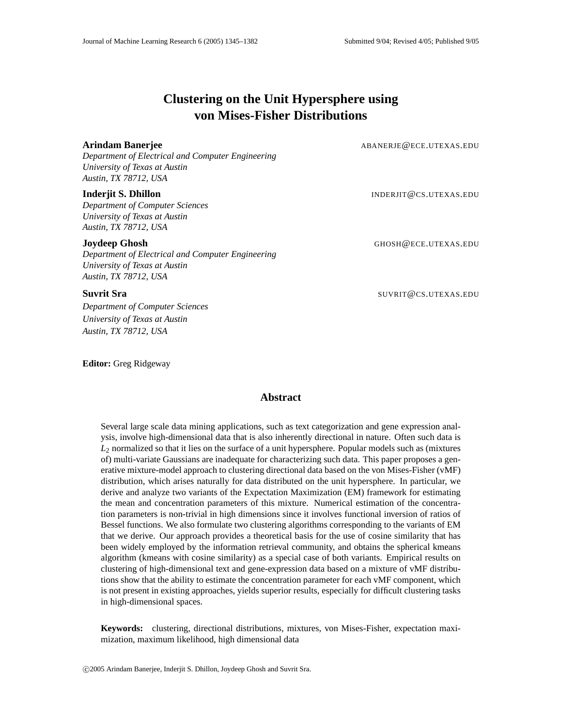# **Clustering on the Unit Hypersphere using von Mises-Fisher Distributions**

**Arindam Banerjee** ABANERJE@ECE.UTEXAS.EDU

*Department of Electrical and Computer Engineering University of Texas at Austin Austin, TX 78712, USA*

#### **Inderjit S. Dhillon INDERJIT@CS.UTEXAS.EDU**

*Department of Computer Sciences University of Texas at Austin Austin, TX 78712, USA*

*Department of Electrical and Computer Engineering University of Texas at Austin Austin, TX 78712, USA*

*Department of Computer Sciences University of Texas at Austin Austin, TX 78712, USA*

**Editor:** Greg Ridgeway

**Joydeep Ghosh** GHOSH@ECE.UTEXAS.EDU

**Suvrit Sra** SUVRIT@CS.UTEXAS.EDU

## **Abstract**

Several large scale data mining applications, such as text categorization and gene expression analysis, involve high-dimensional data that is also inherently directional in nature. Often such data is *L*<sup>2</sup> normalized so that it lies on the surface of a unit hypersphere. Popular models such as (mixtures of) multi-variate Gaussians are inadequate for characterizing such data. This paper proposes a generative mixture-model approach to clustering directional data based on the von Mises-Fisher (vMF) distribution, which arises naturally for data distributed on the unit hypersphere. In particular, we derive and analyze two variants of the Expectation Maximization (EM) framework for estimating the mean and concentration parameters of this mixture. Numerical estimation of the concentration parameters is non-trivial in high dimensions since it involves functional inversion of ratios of Bessel functions. We also formulate two clustering algorithms corresponding to the variants of EM that we derive. Our approach provides a theoretical basis for the use of cosine similarity that has been widely employed by the information retrieval community, and obtains the spherical kmeans algorithm (kmeans with cosine similarity) as a special case of both variants. Empirical results on clustering of high-dimensional text and gene-expression data based on a mixture of vMF distributions show that the ability to estimate the concentration parameter for each vMF component, which is not present in existing approaches, yields superior results, especially for difficult clustering tasks in high-dimensional spaces.

**Keywords:** clustering, directional distributions, mixtures, von Mises-Fisher, expectation maximization, maximum likelihood, high dimensional data

c 2005 Arindam Banerjee, Inderjit S. Dhillon, Joydeep Ghosh and Suvrit Sra.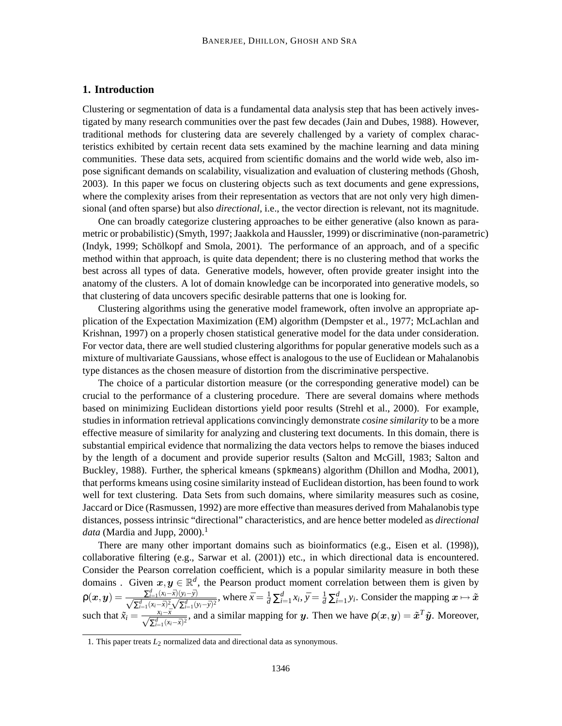## **1. Introduction**

Clustering or segmentation of data is a fundamental data analysis step that has been actively investigated by many research communities over the past few decades (Jain and Dubes, 1988). However, traditional methods for clustering data are severely challenged by a variety of complex characteristics exhibited by certain recent data sets examined by the machine learning and data mining communities. These data sets, acquired from scientific domains and the world wide web, also impose significant demands on scalability, visualization and evaluation of clustering methods (Ghosh, 2003). In this paper we focus on clustering objects such as text documents and gene expressions, where the complexity arises from their representation as vectors that are not only very high dimensional (and often sparse) but also *directional*, i.e., the vector direction is relevant, not its magnitude.

One can broadly categorize clustering approaches to be either generative (also known as parametric or probabilistic) (Smyth, 1997; Jaakkola and Haussler, 1999) or discriminative (non-parametric) (Indyk, 1999; Schölkopf and Smola, 2001). The performance of an approach, and of a specific method within that approach, is quite data dependent; there is no clustering method that works the best across all types of data. Generative models, however, often provide greater insight into the anatomy of the clusters. A lot of domain knowledge can be incorporated into generative models, so that clustering of data uncovers specific desirable patterns that one is looking for.

Clustering algorithms using the generative model framework, often involve an appropriate application of the Expectation Maximization (EM) algorithm (Dempster et al., 1977; McLachlan and Krishnan, 1997) on a properly chosen statistical generative model for the data under consideration. For vector data, there are well studied clustering algorithms for popular generative models such as a mixture of multivariate Gaussians, whose effect is analogous to the use of Euclidean or Mahalanobis type distances as the chosen measure of distortion from the discriminative perspective.

The choice of a particular distortion measure (or the corresponding generative model) can be crucial to the performance of a clustering procedure. There are several domains where methods based on minimizing Euclidean distortions yield poor results (Strehl et al., 2000). For example, studies in information retrieval applications convincingly demonstrate *cosine similarity* to be a more effective measure of similarity for analyzing and clustering text documents. In this domain, there is substantial empirical evidence that normalizing the data vectors helps to remove the biases induced by the length of a document and provide superior results (Salton and McGill, 1983; Salton and Buckley, 1988). Further, the spherical kmeans (spkmeans) algorithm (Dhillon and Modha, 2001), that performs kmeans using cosine similarity instead of Euclidean distortion, has been found to work well for text clustering. Data Sets from such domains, where similarity measures such as cosine, Jaccard or Dice (Rasmussen, 1992) are more effective than measures derived from Mahalanobis type distances, possess intrinsic "directional" characteristics, and are hence better modeled as *directional data* (Mardia and Jupp, 2000).<sup>1</sup>

There are many other important domains such as bioinformatics (e.g., Eisen et al. (1998)), collaborative filtering (e.g., Sarwar et al. (2001)) etc., in which directional data is encountered. Consider the Pearson correlation coefficient, which is a popular similarity measure in both these domains . Given  $x, y \in \mathbb{R}^d$ , the Pearson product moment correlation between them is given by  $\rho(x,y) = \frac{\sum_{i=1}^d (x_i - \bar{x})(y_i - \bar{y})}{\sqrt{\sum_{i=1}^d (x_i - \bar{x})^2}\sqrt{\sum_{i=1}^d (y_i - \bar{y})^2}}$  $\frac{\sum_{i=1}^u (x_i - \bar{x})(y_i - \bar{y})}{\sum_{i=1}^d (x_i - \bar{x})^2}$ , where  $\bar{x} = \frac{1}{d} \sum_{i=1}^d x_i$ ,  $\bar{y} = \frac{1}{d} \sum_{i=1}^d y_i$ . Consider the mapping  $x \mapsto \tilde{x}$ such that  $\tilde{x}_i = \frac{x_i - \bar{x}}{\sqrt{\sum_{i=1}^d (x_i - \bar{x})^2}}$ , and a similar mapping for y. Then we have  $\rho(x, y) = \tilde{x}^T \tilde{y}$ . Moreover,

<sup>1.</sup> This paper treats  $L_2$  normalized data and directional data as synonymous.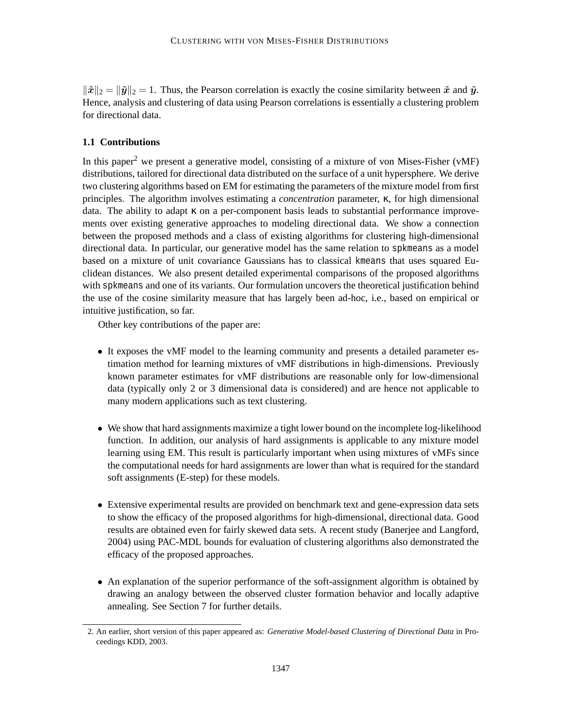$\|\tilde{x}\|_2 = \|\tilde{y}\|_2 = 1$ . Thus, the Pearson correlation is exactly the cosine similarity between  $\tilde{x}$  and  $\tilde{y}$ . Hence, analysis and clustering of data using Pearson correlations is essentially a clustering problem for directional data.

## **1.1 Contributions**

In this paper<sup>2</sup> we present a generative model, consisting of a mixture of von Mises-Fisher ( $vMF$ ) distributions, tailored for directional data distributed on the surface of a unit hypersphere. We derive two clustering algorithms based on EM for estimating the parameters of the mixture model from first principles. The algorithm involves estimating a *concentration* parameter, κ, for high dimensional data. The ability to adapt κ on a per-component basis leads to substantial performance improvements over existing generative approaches to modeling directional data. We show a connection between the proposed methods and a class of existing algorithms for clustering high-dimensional directional data. In particular, our generative model has the same relation to spkmeans as a model based on a mixture of unit covariance Gaussians has to classical kmeans that uses squared Euclidean distances. We also present detailed experimental comparisons of the proposed algorithms with spkmeans and one of its variants. Our formulation uncovers the theoretical justification behind the use of the cosine similarity measure that has largely been ad-hoc, i.e., based on empirical or intuitive justification, so far.

Other key contributions of the paper are:

- It exposes the vMF model to the learning community and presents a detailed parameter estimation method for learning mixtures of vMF distributions in high-dimensions. Previously known parameter estimates for vMF distributions are reasonable only for low-dimensional data (typically only 2 or 3 dimensional data is considered) and are hence not applicable to many modern applications such as text clustering.
- We show that hard assignments maximize a tight lower bound on the incomplete log-likelihood function. In addition, our analysis of hard assignments is applicable to any mixture model learning using EM. This result is particularly important when using mixtures of vMFs since the computational needs for hard assignments are lower than what is required for the standard soft assignments (E-step) for these models.
- Extensive experimental results are provided on benchmark text and gene-expression data sets to show the efficacy of the proposed algorithms for high-dimensional, directional data. Good results are obtained even for fairly skewed data sets. A recent study (Banerjee and Langford, 2004) using PAC-MDL bounds for evaluation of clustering algorithms also demonstrated the efficacy of the proposed approaches.
- An explanation of the superior performance of the soft-assignment algorithm is obtained by drawing an analogy between the observed cluster formation behavior and locally adaptive annealing. See Section 7 for further details.

<sup>2.</sup> An earlier, short version of this paper appeared as: *Generative Model-based Clustering of Directional Data* in Proceedings KDD, 2003.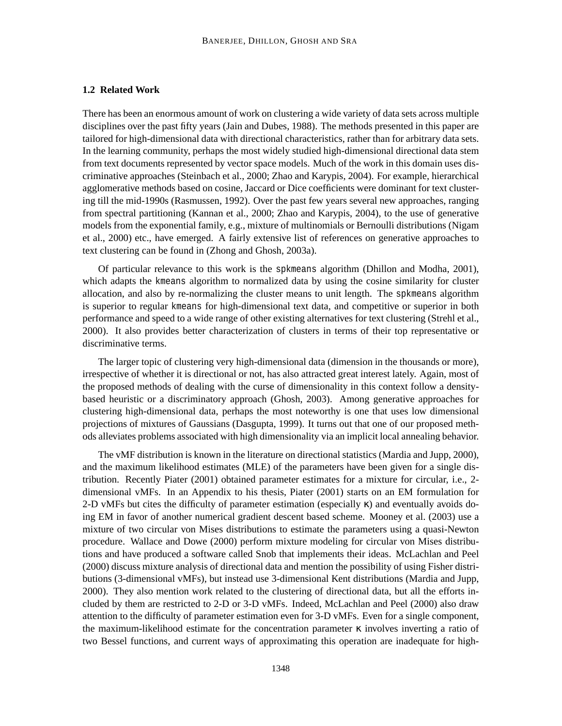## **1.2 Related Work**

There has been an enormous amount of work on clustering a wide variety of data sets across multiple disciplines over the past fifty years (Jain and Dubes, 1988). The methods presented in this paper are tailored for high-dimensional data with directional characteristics, rather than for arbitrary data sets. In the learning community, perhaps the most widely studied high-dimensional directional data stem from text documents represented by vector space models. Much of the work in this domain uses discriminative approaches (Steinbach et al., 2000; Zhao and Karypis, 2004). For example, hierarchical agglomerative methods based on cosine, Jaccard or Dice coefficients were dominant for text clustering till the mid-1990s (Rasmussen, 1992). Over the past few years several new approaches, ranging from spectral partitioning (Kannan et al., 2000; Zhao and Karypis, 2004), to the use of generative models from the exponential family, e.g., mixture of multinomials or Bernoulli distributions (Nigam et al., 2000) etc., have emerged. A fairly extensive list of references on generative approaches to text clustering can be found in (Zhong and Ghosh, 2003a).

Of particular relevance to this work is the spkmeans algorithm (Dhillon and Modha, 2001), which adapts the kmeans algorithm to normalized data by using the cosine similarity for cluster allocation, and also by re-normalizing the cluster means to unit length. The spkmeans algorithm is superior to regular kmeans for high-dimensional text data, and competitive or superior in both performance and speed to a wide range of other existing alternatives for text clustering (Strehl et al., 2000). It also provides better characterization of clusters in terms of their top representative or discriminative terms.

The larger topic of clustering very high-dimensional data (dimension in the thousands or more), irrespective of whether it is directional or not, has also attracted great interest lately. Again, most of the proposed methods of dealing with the curse of dimensionality in this context follow a densitybased heuristic or a discriminatory approach (Ghosh, 2003). Among generative approaches for clustering high-dimensional data, perhaps the most noteworthy is one that uses low dimensional projections of mixtures of Gaussians (Dasgupta, 1999). It turns out that one of our proposed methods alleviates problems associated with high dimensionality via an implicit local annealing behavior.

The vMF distribution is known in the literature on directional statistics (Mardia and Jupp, 2000), and the maximum likelihood estimates (MLE) of the parameters have been given for a single distribution. Recently Piater (2001) obtained parameter estimates for a mixture for circular, i.e., 2 dimensional vMFs. In an Appendix to his thesis, Piater (2001) starts on an EM formulation for 2-D vMFs but cites the difficulty of parameter estimation (especially κ) and eventually avoids doing EM in favor of another numerical gradient descent based scheme. Mooney et al. (2003) use a mixture of two circular von Mises distributions to estimate the parameters using a quasi-Newton procedure. Wallace and Dowe (2000) perform mixture modeling for circular von Mises distributions and have produced a software called Snob that implements their ideas. McLachlan and Peel (2000) discuss mixture analysis of directional data and mention the possibility of using Fisher distributions (3-dimensional vMFs), but instead use 3-dimensional Kent distributions (Mardia and Jupp, 2000). They also mention work related to the clustering of directional data, but all the efforts included by them are restricted to 2-D or 3-D vMFs. Indeed, McLachlan and Peel (2000) also draw attention to the difficulty of parameter estimation even for 3-D vMFs. Even for a single component, the maximum-likelihood estimate for the concentration parameter  $\kappa$  involves inverting a ratio of two Bessel functions, and current ways of approximating this operation are inadequate for high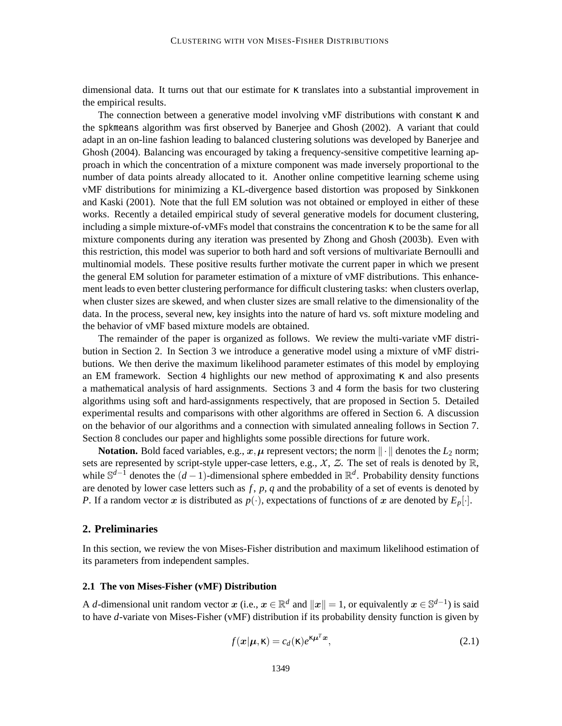dimensional data. It turns out that our estimate for κ translates into a substantial improvement in the empirical results.

The connection between a generative model involving vMF distributions with constant  $\kappa$  and the spkmeans algorithm was first observed by Banerjee and Ghosh (2002). A variant that could adapt in an on-line fashion leading to balanced clustering solutions was developed by Banerjee and Ghosh (2004). Balancing was encouraged by taking a frequency-sensitive competitive learning approach in which the concentration of a mixture component was made inversely proportional to the number of data points already allocated to it. Another online competitive learning scheme using vMF distributions for minimizing a KL-divergence based distortion was proposed by Sinkkonen and Kaski (2001). Note that the full EM solution was not obtained or employed in either of these works. Recently a detailed empirical study of several generative models for document clustering, including a simple mixture-of-vMFs model that constrains the concentration  $\kappa$  to be the same for all mixture components during any iteration was presented by Zhong and Ghosh (2003b). Even with this restriction, this model was superior to both hard and soft versions of multivariate Bernoulli and multinomial models. These positive results further motivate the current paper in which we present the general EM solution for parameter estimation of a mixture of vMF distributions. This enhancement leads to even better clustering performance for difficult clustering tasks: when clusters overlap, when cluster sizes are skewed, and when cluster sizes are small relative to the dimensionality of the data. In the process, several new, key insights into the nature of hard vs. soft mixture modeling and the behavior of vMF based mixture models are obtained.

The remainder of the paper is organized as follows. We review the multi-variate vMF distribution in Section 2. In Section 3 we introduce a generative model using a mixture of vMF distributions. We then derive the maximum likelihood parameter estimates of this model by employing an EM framework. Section 4 highlights our new method of approximating  $\kappa$  and also presents a mathematical analysis of hard assignments. Sections 3 and 4 form the basis for two clustering algorithms using soft and hard-assignments respectively, that are proposed in Section 5. Detailed experimental results and comparisons with other algorithms are offered in Section 6. A discussion on the behavior of our algorithms and a connection with simulated annealing follows in Section 7. Section 8 concludes our paper and highlights some possible directions for future work.

**Notation.** Bold faced variables, e.g.,  $x, \mu$  represent vectors; the norm  $\|\cdot\|$  denotes the  $L_2$  norm; sets are represented by script-style upper-case letters, e.g.,  $X$ ,  $Z$ . The set of reals is denoted by  $\mathbb{R}$ , while S *<sup>d</sup>*−<sup>1</sup> denotes the (*<sup>d</sup>* <sup>−</sup>1)-dimensional sphere embedded in <sup>R</sup> *d* . Probability density functions are denoted by lower case letters such as *f* , *p*, *q* and the probability of a set of events is denoted by *P*. If a random vector x is distributed as  $p(\cdot)$ , expectations of functions of x are denoted by  $E_p[\cdot]$ .

## **2. Preliminaries**

In this section, we review the von Mises-Fisher distribution and maximum likelihood estimation of its parameters from independent samples.

### **2.1 The von Mises-Fisher (vMF) Distribution**

A *d*-dimensional unit random vector  $x$  (i.e.,  $x \in \mathbb{R}^d$  and  $||x|| = 1$ , or equivalently  $x \in \mathbb{S}^{d-1}$ ) is said to have *d*-variate von Mises-Fisher (vMF) distribution if its probability density function is given by

$$
f(\mathbf{x}|\boldsymbol{\mu}, \mathbf{\kappa}) = c_d(\mathbf{\kappa})e^{\kappa \boldsymbol{\mu}^T \mathbf{x}},
$$
\n(2.1)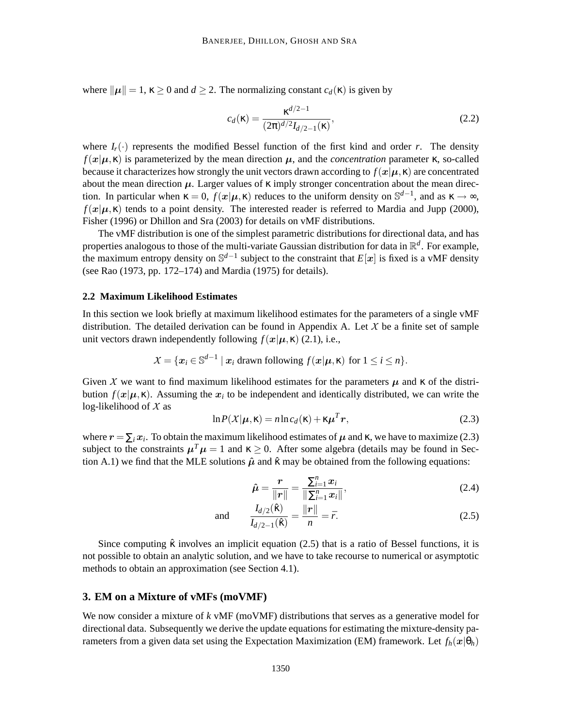where  $\|\mu\| = 1$ ,  $\kappa \ge 0$  and  $d \ge 2$ . The normalizing constant  $c_d(\kappa)$  is given by

$$
c_d(\kappa) = \frac{\kappa^{d/2 - 1}}{(2\pi)^{d/2} I_{d/2 - 1}(\kappa)},
$$
\n(2.2)

where  $I_r(\cdot)$  represents the modified Bessel function of the first kind and order *r*. The density  $f(x|\mu, \kappa)$  is parameterized by the mean direction  $\mu$ , and the *concentration* parameter  $\kappa$ , so-called because it characterizes how strongly the unit vectors drawn according to  $f(x|\mu, \kappa)$  are concentrated about the mean direction  $\mu$ . Larger values of  $\kappa$  imply stronger concentration about the mean direction. In particular when  $\kappa = 0$ ,  $f(x|\mu, \kappa)$  reduces to the uniform density on  $\mathbb{S}^{d-1}$ , and as  $\kappa \to \infty$ ,  $f(x|\mu, \kappa)$  tends to a point density. The interested reader is referred to Mardia and Jupp (2000), Fisher (1996) or Dhillon and Sra (2003) for details on vMF distributions.

The vMF distribution is one of the simplest parametric distributions for directional data, and has properties analogous to those of the multi-variate Gaussian distribution for data in R *d* . For example, the maximum entropy density on S *d*−1 subject to the constraint that *E*[x] is fixed is a vMF density (see Rao (1973, pp. 172–174) and Mardia (1975) for details).

#### **2.2 Maximum Likelihood Estimates**

In this section we look briefly at maximum likelihood estimates for the parameters of a single vMF distribution. The detailed derivation can be found in Appendix A. Let  $X$  be a finite set of sample unit vectors drawn independently following  $f(x|\mu, \kappa)$  (2.1), i.e.,

$$
X = \{ \boldsymbol{x}_i \in \mathbb{S}^{d-1} \mid \boldsymbol{x}_i \text{ drawn following } f(\boldsymbol{x} | \boldsymbol{\mu}, \boldsymbol{\kappa}) \text{ for } 1 \leq i \leq n \}.
$$

Given X we want to find maximum likelihood estimates for the parameters  $\mu$  and  $\kappa$  of the distribution  $f(x|\mu, \kappa)$ . Assuming the  $x_i$  to be independent and identically distributed, we can write the log-likelihood of  $X$  as

$$
\ln P(X|\mu, \mathbf{\kappa}) = n \ln c_d(\mathbf{\kappa}) + \kappa \mu^T r,
$$
\n(2.3)

where  $r = \sum_i x_i$ . To obtain the maximum likelihood estimates of  $\mu$  and  $\kappa$ , we have to maximize (2.3) subject to the constraints  $\mu^T \mu = 1$  and  $\kappa \ge 0$ . After some algebra (details may be found in Section A.1) we find that the MLE solutions  $\hat{\mu}$  and  $\hat{\kappa}$  may be obtained from the following equations:

$$
\hat{\mu} = \frac{r}{\|r\|} = \frac{\sum_{i=1}^{n} x_i}{\|\sum_{i=1}^{n} x_i\|},\tag{2.4}
$$

and 
$$
\frac{I_{d/2}(\hat{\kappa})}{I_{d/2-1}(\hat{\kappa})} = \frac{\|\mathbf{r}\|}{n} = \bar{r}.
$$
 (2.5)

Since computing  $\hat{\kappa}$  involves an implicit equation (2.5) that is a ratio of Bessel functions, it is not possible to obtain an analytic solution, and we have to take recourse to numerical or asymptotic methods to obtain an approximation (see Section 4.1).

## **3. EM on a Mixture of vMFs (moVMF)**

We now consider a mixture of *k* vMF (moVMF) distributions that serves as a generative model for directional data. Subsequently we derive the update equations for estimating the mixture-density parameters from a given data set using the Expectation Maximization (EM) framework. Let  $f_h(x|\theta_h)$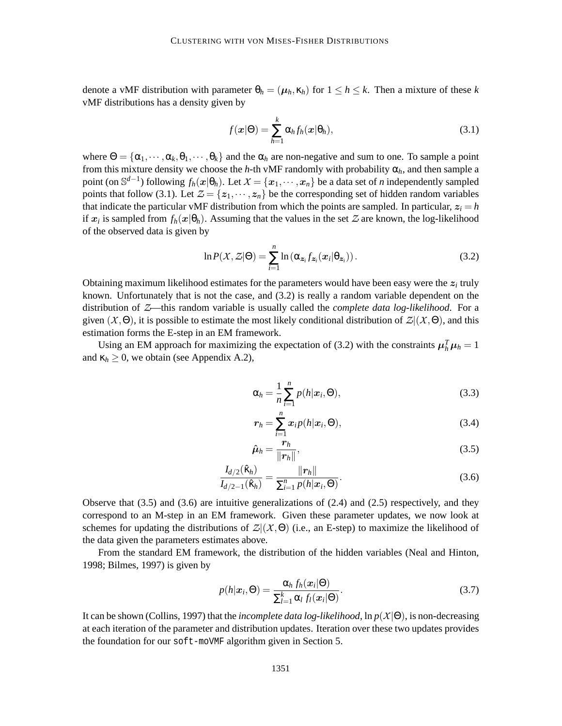denote a vMF distribution with parameter  $\theta_h = (\mu_h, \kappa_h)$  for  $1 \leq h \leq k$ . Then a mixture of these *k* vMF distributions has a density given by

$$
f(\boldsymbol{x}|\Theta) = \sum_{h=1}^{k} \alpha_h f_h(\boldsymbol{x}|\Theta_h),
$$
\n(3.1)

where  $\Theta = {\alpha_1, \dots, \alpha_k, \theta_1, \dots, \theta_k}$  and the  $\alpha_h$  are non-negative and sum to one. To sample a point from this mixture density we choose the *h*-th vMF randomly with probability  $\alpha_h$ , and then sample a point (on  $\mathbb{S}^{d-1}$ ) following  $f_h(x|\theta_h)$ . Let  $X = \{x_1, \dots, x_n\}$  be a data set of *n* independently sampled points that follow (3.1). Let  $\mathcal{Z} = \{z_1, \dots, z_n\}$  be the corresponding set of hidden random variables that indicate the particular vMF distribution from which the points are sampled. In particular,  $z_i = h$ if  $x_i$  is sampled from  $f_h(x|\theta_h)$ . Assuming that the values in the set  $\mathcal Z$  are known, the log-likelihood of the observed data is given by

$$
\ln P(X, Z|\Theta) = \sum_{i=1}^{n} \ln \left( \alpha_{\mathbf{z}_i} f_{\mathbf{z}_i}(\mathbf{x}_i | \theta_{\mathbf{z}_i}) \right).
$$
 (3.2)

Obtaining maximum likelihood estimates for the parameters would have been easy were the  $z_i$  truly known. Unfortunately that is not the case, and (3.2) is really a random variable dependent on the distribution of Z—this random variable is usually called the *complete data log-likelihood*. For a given  $(X, \Theta)$ , it is possible to estimate the most likely conditional distribution of  $\mathcal{Z} | (X, \Theta)$ , and this estimation forms the E-step in an EM framework.

Using an EM approach for maximizing the expectation of (3.2) with the constraints  $\mu_h^T \mu_h = 1$ and  $\kappa_h \geq 0$ , we obtain (see Appendix A.2),

$$
\alpha_h = \frac{1}{n} \sum_{i=1}^n p(h | \mathbf{x}_i, \Theta), \qquad (3.3)
$$

$$
r_h = \sum_{i=1}^n x_i p(h|x_i, \Theta), \qquad (3.4)
$$

$$
\hat{\boldsymbol{\mu}}_h = \frac{\boldsymbol{r}_h}{\|\boldsymbol{r}_h\|},\tag{3.5}
$$

$$
\frac{I_{d/2}(\hat{\kappa}_h)}{I_{d/2-1}(\hat{\kappa}_h)} = \frac{\|r_h\|}{\sum_{i=1}^n p(h|x_i, \Theta)}.
$$
\n(3.6)

Observe that  $(3.5)$  and  $(3.6)$  are intuitive generalizations of  $(2.4)$  and  $(2.5)$  respectively, and they correspond to an M-step in an EM framework. Given these parameter updates, we now look at schemes for updating the distributions of  $\mathcal{Z}(\mathcal{X},\Theta)$  (i.e., an E-step) to maximize the likelihood of the data given the parameters estimates above.

From the standard EM framework, the distribution of the hidden variables (Neal and Hinton, 1998; Bilmes, 1997) is given by

$$
p(h|\mathbf{x}_i, \Theta) = \frac{\alpha_h f_h(\mathbf{x}_i|\Theta)}{\sum_{l=1}^k \alpha_l f_l(\mathbf{x}_i|\Theta)}.
$$
\n(3.7)

It can be shown (Collins, 1997) that the *incomplete data log-likelihood*, ln *<sup>p</sup>*(X|Θ), is non-decreasing at each iteration of the parameter and distribution updates. Iteration over these two updates provides the foundation for our soft-moVMF algorithm given in Section 5.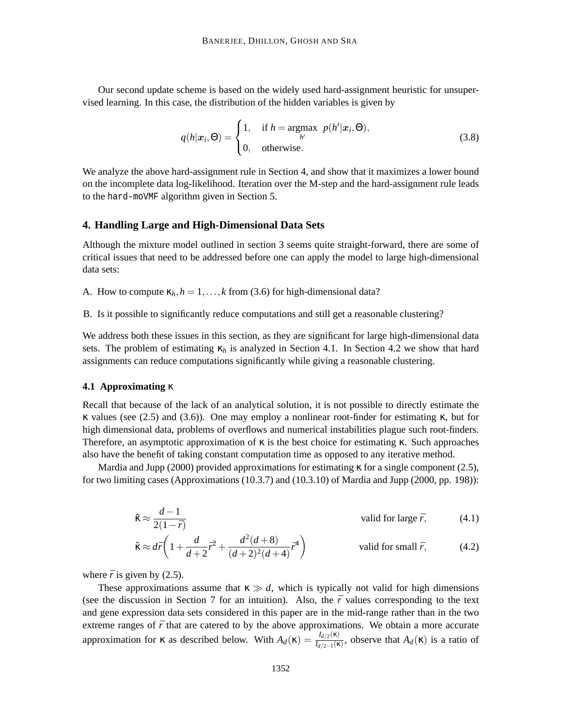Our second update scheme is based on the widely used hard-assignment heuristic for unsupervised learning. In this case, the distribution of the hidden variables is given by

$$
q(h|\mathbf{x}_i, \Theta) = \begin{cases} 1, & \text{if } h = \underset{h'}{\operatorname{argmax}} \ p(h'|\mathbf{x}_i, \Theta), \\ 0, & \text{otherwise.} \end{cases}
$$
(3.8)

We analyze the above hard-assignment rule in Section 4, and show that it maximizes a lower bound on the incomplete data log-likelihood. Iteration over the M-step and the hard-assignment rule leads to the hard-moVMF algorithm given in Section 5.

### **4. Handling Large and High-Dimensional Data Sets**

Although the mixture model outlined in section 3 seems quite straight-forward, there are some of critical issues that need to be addressed before one can apply the model to large high-dimensional data sets:

A. How to compute  $\kappa_h$ ,  $h = 1, \ldots, k$  from (3.6) for high-dimensional data?

B. Is it possible to significantly reduce computations and still get a reasonable clustering?

We address both these issues in this section, as they are significant for large high-dimensional data sets. The problem of estimating  $\kappa_h$  is analyzed in Section 4.1. In Section 4.2 we show that hard assignments can reduce computations significantly while giving a reasonable clustering.

#### **4.1 Approximating** κ

Recall that because of the lack of an analytical solution, it is not possible to directly estimate the κ values (see (2.5) and (3.6)). One may employ a nonlinear root-finder for estimating κ, but for high dimensional data, problems of overflows and numerical instabilities plague such root-finders. Therefore, an asymptotic approximation of  $\kappa$  is the best choice for estimating  $\kappa$ . Such approaches also have the benefit of taking constant computation time as opposed to any iterative method.

Mardia and Jupp (2000) provided approximations for estimating  $\kappa$  for a single component (2.5), for two limiting cases (Approximations (10.3.7) and (10.3.10) of Mardia and Jupp (2000, pp. 198)):

$$
\hat{\kappa} \approx \frac{d-1}{2(1-\bar{r})}
$$
 valid for large  $\bar{r}$ , (4.1)

$$
\hat{\kappa} \approx d\bar{r} \left( 1 + \frac{d}{d+2} \bar{r}^2 + \frac{d^2(d+8)}{(d+2)^2(d+4)} \bar{r}^4 \right) \quad \text{valid for small } \bar{r}, \tag{4.2}
$$

where  $\bar{r}$  is given by (2.5).

These approximations assume that  $\kappa \gg d$ , which is typically not valid for high dimensions (see the discussion in Section 7 for an intuition). Also, the  $\bar{r}$  values corresponding to the text and gene expression data sets considered in this paper are in the mid-range rather than in the two extreme ranges of  $\bar{r}$  that are catered to by the above approximations. We obtain a more accurate approximation for **κ** as described below. With  $A_d(\mathbf{k}) = \frac{I_{d/2}(\mathbf{k})}{I_{d/2}(\mathbf{k})}$  $\frac{I_{d/2}(\kappa)}{I_{d/2-1}(\kappa)}$ , observe that  $A_d(\kappa)$  is a ratio of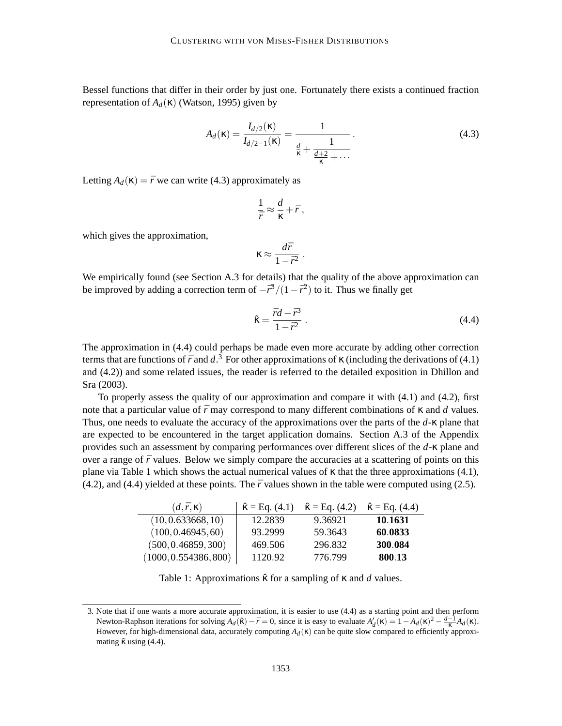Bessel functions that differ in their order by just one. Fortunately there exists a continued fraction representation of  $A_d$ (κ) (Watson, 1995) given by

$$
A_d(\kappa) = \frac{I_{d/2}(\kappa)}{I_{d/2-1}(\kappa)} = \frac{1}{\frac{d}{\kappa} + \frac{1}{\frac{d+2}{\kappa} + \cdots}}.
$$
(4.3)

Letting  $A_d(\kappa) = \bar{r}$  we can write (4.3) approximately as

$$
\frac{1}{\bar{r}} \approx \frac{d}{\kappa} + \bar{r} ,
$$

which gives the approximation,

$$
\kappa \approx \frac{d\bar{r}}{1-\bar{r}^2}
$$

.

We empirically found (see Section A.3 for details) that the quality of the above approximation can be improved by adding a correction term of  $-\bar{r}^3/(1-\bar{r}^2)$  to it. Thus we finally get

$$
\hat{\kappa} = \frac{\bar{r}d - \bar{r}^3}{1 - \bar{r}^2} \,. \tag{4.4}
$$

The approximation in (4.4) could perhaps be made even more accurate by adding other correction terms that are functions of  $\bar{r}$  and  $d^3$ . For other approximations of  $\kappa$  (including the derivations of (4.1) and (4.2)) and some related issues, the reader is referred to the detailed exposition in Dhillon and Sra (2003).

To properly assess the quality of our approximation and compare it with  $(4.1)$  and  $(4.2)$ , first note that a particular value of  $\bar{r}$  may correspond to many different combinations of  $\kappa$  and  $\bar{d}$  values. Thus, one needs to evaluate the accuracy of the approximations over the parts of the *d*-κ plane that are expected to be encountered in the target application domains. Section A.3 of the Appendix provides such an assessment by comparing performances over different slices of the *d*-κ plane and over a range of  $\bar{r}$  values. Below we simply compare the accuracies at a scattering of points on this plane via Table 1 which shows the actual numerical values of  $\kappa$  that the three approximations (4.1),  $(4.2)$ , and  $(4.4)$  yielded at these points. The  $\bar{r}$  values shown in the table were computed using  $(2.5)$ .

| $(d,\bar{r},\kappa)$  | $\hat{\kappa} =$ Eq. (4.1) | $\hat{\kappa} =$ Eq. (4.2) | $\hat{\kappa} =$ Eq. (4.4) |
|-----------------------|----------------------------|----------------------------|----------------------------|
| (10, 0.633668, 10)    | 12.2839                    | 9.36921                    | 10.1631                    |
| (100, 0.46945, 60)    | 93.2999                    | 59.3643                    | 60.0833                    |
| (500, 0.46859, 300)   | 469.506                    | 296.832                    | 300.084                    |
| (1000, 0.554386, 800) | 1120.92                    | 776.799                    | 800.13                     |

Table 1: Approximations κˆ for a sampling of κ and *d* values.

<sup>3.</sup> Note that if one wants a more accurate approximation, it is easier to use (4.4) as a starting point and then perform Newton-Raphson iterations for solving  $A_d(\hat{\mathbf{k}}) - \bar{r} = 0$ , since it is easy to evaluate  $A'_d(\mathbf{k}) = 1 - A_d(\mathbf{k})^2 - \frac{d-1}{\kappa}A_d(\mathbf{k})$ . However, for high-dimensional data, accurately computing  $A_d$ (κ) can be quite slow compared to efficiently approximating  $\hat{\kappa}$  using (4.4).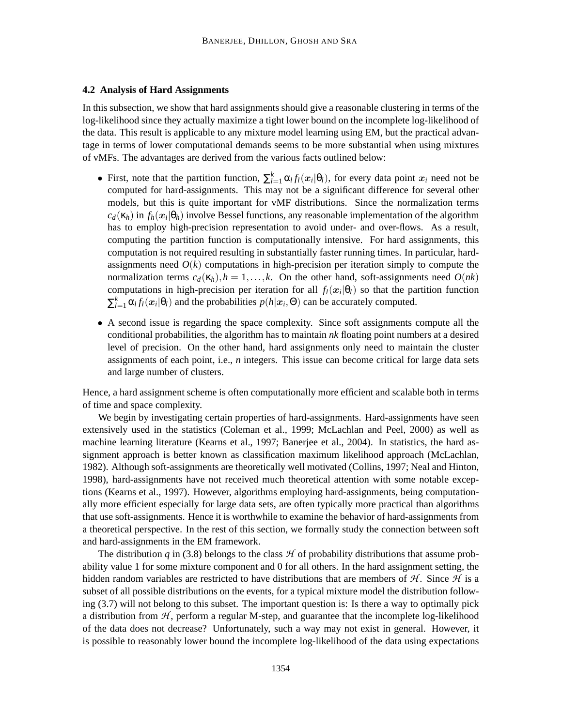## **4.2 Analysis of Hard Assignments**

In this subsection, we show that hard assignments should give a reasonable clustering in terms of the log-likelihood since they actually maximize a tight lower bound on the incomplete log-likelihood of the data. This result is applicable to any mixture model learning using EM, but the practical advantage in terms of lower computational demands seems to be more substantial when using mixtures of vMFs. The advantages are derived from the various facts outlined below:

- First, note that the partition function,  $\sum_{l=1}^{k} \alpha_l f_l(x_i | \theta_l)$ , for every data point  $x_i$  need not be computed for hard-assignments. This may not be a significant difference for several other models, but this is quite important for vMF distributions. Since the normalization terms  $c_d(\kappa_h)$  in  $f_h(\mathbf{x}_i|\theta_h)$  involve Bessel functions, any reasonable implementation of the algorithm has to employ high-precision representation to avoid under- and over-flows. As a result, computing the partition function is computationally intensive. For hard assignments, this computation is not required resulting in substantially faster running times. In particular, hardassignments need  $O(k)$  computations in high-precision per iteration simply to compute the normalization terms  $c_d(\kappa_h)$ ,  $h = 1, \ldots, k$ . On the other hand, soft-assignments need  $O(nk)$ computations in high-precision per iteration for all  $f_l(x_i|\theta_l)$  so that the partition function  $\sum_{l=1}^{k} \alpha_l f_l(\mathbf{x}_i | \theta_l)$  and the probabilities  $p(h | \mathbf{x}_i, \Theta)$  can be accurately computed.
- A second issue is regarding the space complexity. Since soft assignments compute all the conditional probabilities, the algorithm has to maintain *nk* floating point numbers at a desired level of precision. On the other hand, hard assignments only need to maintain the cluster assignments of each point, i.e., *n* integers. This issue can become critical for large data sets and large number of clusters.

Hence, a hard assignment scheme is often computationally more efficient and scalable both in terms of time and space complexity.

We begin by investigating certain properties of hard-assignments. Hard-assignments have seen extensively used in the statistics (Coleman et al., 1999; McLachlan and Peel, 2000) as well as machine learning literature (Kearns et al., 1997; Banerjee et al., 2004). In statistics, the hard assignment approach is better known as classification maximum likelihood approach (McLachlan, 1982). Although soft-assignments are theoretically well motivated (Collins, 1997; Neal and Hinton, 1998), hard-assignments have not received much theoretical attention with some notable exceptions (Kearns et al., 1997). However, algorithms employing hard-assignments, being computationally more efficient especially for large data sets, are often typically more practical than algorithms that use soft-assignments. Hence it is worthwhile to examine the behavior of hard-assignments from a theoretical perspective. In the rest of this section, we formally study the connection between soft and hard-assignments in the EM framework.

The distribution  $q$  in (3.8) belongs to the class  $H$  of probability distributions that assume probability value 1 for some mixture component and 0 for all others. In the hard assignment setting, the hidden random variables are restricted to have distributions that are members of  $H$ . Since  $H$  is a subset of all possible distributions on the events, for a typical mixture model the distribution following (3.7) will not belong to this subset. The important question is: Is there a way to optimally pick a distribution from  $H$ , perform a regular M-step, and guarantee that the incomplete log-likelihood of the data does not decrease? Unfortunately, such a way may not exist in general. However, it is possible to reasonably lower bound the incomplete log-likelihood of the data using expectations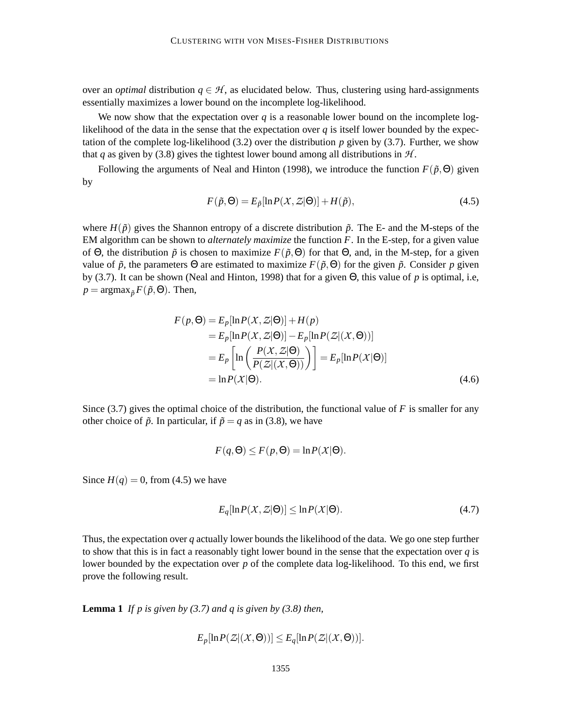over an *optimal* distribution  $q \in \mathcal{H}$ , as elucidated below. Thus, clustering using hard-assignments essentially maximizes a lower bound on the incomplete log-likelihood.

We now show that the expectation over  $q$  is a reasonable lower bound on the incomplete loglikelihood of the data in the sense that the expectation over  $q$  is itself lower bounded by the expectation of the complete log-likelihood  $(3.2)$  over the distribution p given by  $(3.7)$ . Further, we show that *q* as given by (3.8) gives the tightest lower bound among all distributions in  $H$ .

Following the arguments of Neal and Hinton (1998), we introduce the function  $F(\tilde{p},\Theta)$  given by

$$
F(\tilde{p}, \Theta) = E_{\tilde{p}}[\ln P(X, Z|\Theta)] + H(\tilde{p}),
$$
\n(4.5)

where  $H(\tilde{p})$  gives the Shannon entropy of a discrete distribution  $\tilde{p}$ . The E- and the M-steps of the EM algorithm can be shown to *alternately maximize* the function *F*. In the E-step, for a given value of  $\Theta$ , the distribution  $\tilde{p}$  is chosen to maximize  $F(\tilde{p},\Theta)$  for that  $\Theta$ , and, in the M-step, for a given value of  $\tilde{p}$ , the parameters  $\Theta$  are estimated to maximize  $F(\tilde{p}, \Theta)$  for the given  $\tilde{p}$ . Consider p given by (3.7). It can be shown (Neal and Hinton, 1998) that for a given Θ, this value of *p* is optimal, i.e,  $p = \text{argmax}_{\tilde{p}} F(\tilde{p}, \Theta)$ . Then,

$$
F(p, \Theta) = E_p[\ln P(X, Z|\Theta)] + H(p)
$$
  
=  $E_p[\ln P(X, Z|\Theta)] - E_p[\ln P(Z|(X, \Theta))]$   
=  $E_p \left[\ln \left(\frac{P(X, Z|\Theta)}{P(Z|(X, \Theta))}\right)\right] = E_p[\ln P(X|\Theta)]$   
=  $\ln P(X|\Theta).$  (4.6)

Since (3.7) gives the optimal choice of the distribution, the functional value of *F* is smaller for any other choice of  $\tilde{p}$ . In particular, if  $\tilde{p} = q$  as in (3.8), we have

$$
F(q, \Theta) \le F(p, \Theta) = \ln P(X|\Theta).
$$

Since  $H(q) = 0$ , from (4.5) we have

$$
E_q[\ln P(X, Z|\Theta)] \le \ln P(X|\Theta). \tag{4.7}
$$

Thus, the expectation over *q* actually lower bounds the likelihood of the data. We go one step further to show that this is in fact a reasonably tight lower bound in the sense that the expectation over *q* is lower bounded by the expectation over *p* of the complete data log-likelihood. To this end, we first prove the following result.

**Lemma 1** *If p is given by (3.7) and q is given by (3.8) then,*

$$
E_p[\ln P(\mathcal{Z}|(\mathcal{X},\Theta))] \leq E_q[\ln P(\mathcal{Z}|(\mathcal{X},\Theta))].
$$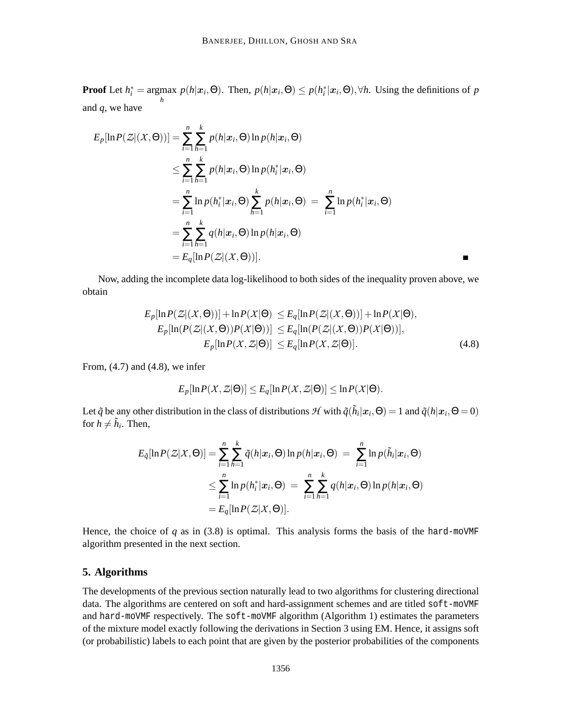**Proof** Let  $h_i^* = \argmax_j p(h | \mathbf{x}_i, \Theta)$ . Then,  $p(h | \mathbf{x}_i, \Theta) \leq p(h_i^* | \mathbf{x}_i, \Theta)$ ,  $\forall h$ . Using the definitions of *p h* and *q*, we have

$$
E_p[\ln P(\mathcal{Z}|(\mathcal{X}, \Theta))] = \sum_{i=1}^n \sum_{h=1}^k p(h|\mathbf{x}_i, \Theta) \ln p(h|\mathbf{x}_i, \Theta)
$$
  
\n
$$
\leq \sum_{i=1}^n \sum_{h=1}^k p(h|\mathbf{x}_i, \Theta) \ln p(h_i^*|\mathbf{x}_i, \Theta)
$$
  
\n
$$
= \sum_{i=1}^n \ln p(h_i^*|\mathbf{x}_i, \Theta) \sum_{h=1}^k p(h|\mathbf{x}_i, \Theta) = \sum_{i=1}^n \ln p(h_i^*|\mathbf{x}_i, \Theta)
$$
  
\n
$$
= \sum_{i=1}^n \sum_{h=1}^k q(h|\mathbf{x}_i, \Theta) \ln p(h|\mathbf{x}_i, \Theta)
$$
  
\n
$$
= E_q[\ln P(\mathcal{Z}|(\mathcal{X}, \Theta))].
$$

Now, adding the incomplete data log-likelihood to both sides of the inequality proven above, we obtain

$$
E_p[\ln P(\mathcal{Z}|(\mathcal{X},\Theta))] + \ln P(\mathcal{X}|\Theta) \le E_q[\ln P(\mathcal{Z}|(\mathcal{X},\Theta))] + \ln P(\mathcal{X}|\Theta),
$$
  
\n
$$
E_p[\ln(P(\mathcal{Z}|(\mathcal{X},\Theta))P(\mathcal{X}|\Theta))] \le E_q[\ln(P(\mathcal{Z}|(\mathcal{X},\Theta))P(\mathcal{X}|\Theta))],
$$
  
\n
$$
E_p[\ln P(\mathcal{X},\mathcal{Z}|\Theta)] \le E_q[\ln P(\mathcal{X},\mathcal{Z}|\Theta)].
$$
\n(4.8)

 $\blacksquare$ 

From,  $(4.7)$  and  $(4.8)$ , we infer

$$
E_p[\ln P(X,\mathcal{Z}|\Theta)] \leq E_q[\ln P(X,\mathcal{Z}|\Theta)] \leq \ln P(X|\Theta).
$$

Let  $\tilde{q}$  be any other distribution in the class of distributions  $\mathcal{H}$  with  $\tilde{q}(\tilde{h}_i|\mathbf{x}_i,\Theta) = 1$  and  $\tilde{q}(h|\mathbf{x}_i,\Theta = 0)$ for  $h \neq \tilde{h}_i$ . Then,

$$
E_{\tilde{q}}[\ln P(\mathcal{Z}|\mathcal{X},\Theta)] = \sum_{i=1}^{n} \sum_{h=1}^{k} \tilde{q}(h|\mathbf{x}_i,\Theta) \ln p(h|\mathbf{x}_i,\Theta) = \sum_{i=1}^{n} \ln p(\tilde{h}_i|\mathbf{x}_i,\Theta)
$$
  

$$
\leq \sum_{i=1}^{n} \ln p(h_i^*|\mathbf{x}_i,\Theta) = \sum_{i=1}^{n} \sum_{h=1}^{k} q(h|\mathbf{x}_i,\Theta) \ln p(h|\mathbf{x}_i,\Theta)
$$
  

$$
= E_q[\ln P(\mathcal{Z}|\mathcal{X},\Theta)].
$$

Hence, the choice of  $q$  as in (3.8) is optimal. This analysis forms the basis of the hard-moVMF algorithm presented in the next section.

## **5. Algorithms**

The developments of the previous section naturally lead to two algorithms for clustering directional data. The algorithms are centered on soft and hard-assignment schemes and are titled soft-moVMF and hard-moVMF respectively. The soft-moVMF algorithm (Algorithm 1) estimates the parameters of the mixture model exactly following the derivations in Section 3 using EM. Hence, it assigns soft (or probabilistic) labels to each point that are given by the posterior probabilities of the components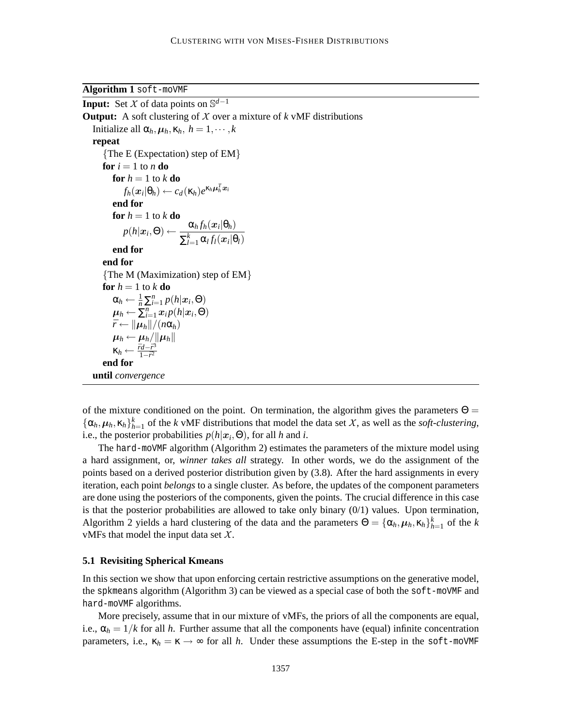**Algorithm 1** soft-moVMF

**Input:** Set X of data points on  $\mathbb{S}^{d-1}$ **Output:** A soft clustering of  $X$  over a mixture of  $k$  vMF distributions Initialize all  $\alpha_h, \mu_h, \kappa_h, h = 1, \dots, k$ **repeat** {The E (Expectation) step of EM} **for**  $i = 1$  to  $n$  **do for**  $h = 1$  to  $k$  **do**  $f_h(\boldsymbol{x}_i|\theta_h) \leftarrow c_d(\kappa_h)e^{\kappa_h\boldsymbol{\mu}_h^T\boldsymbol{x}_i}$ **end for for**  $h = 1$  to  $k$  **do**  $p(h|\boldsymbol{x}_i, \Theta) \leftarrow \frac{\alpha_h f_h(\boldsymbol{x}_i | \theta_h)}{\sum_{k}^{k} \alpha_k f_i(\boldsymbol{x}_i | \Theta_h)}$  $\sum_{l=1}^k \alpha_l f_l(\boldsymbol{x}_i | \boldsymbol{\theta}_l)$ **end for end for** {The M (Maximization) step of EM} **for**  $h = 1$  to  $k$  **do**  $\alpha_h \leftarrow \frac{1}{n} \sum_{i=1}^n p(h|x_i, \Theta)$  $\boldsymbol{\mu}_h \leftarrow \sum_{i=1}^n x_i p(h|\boldsymbol{x}_i, \Theta)$  $\bar{r} \leftarrow ||\mu_h||/(n\alpha_h)$  $\boldsymbol{\mu}_h \leftarrow \boldsymbol{\mu}_h / \|\boldsymbol{\mu}_h\|$  $\kappa_h \leftarrow \frac{\bar{r}d - \bar{r}^3}{1 - \bar{r}^2}$  $1-\bar{r}^2$ **end for until** *convergence*

of the mixture conditioned on the point. On termination, the algorithm gives the parameters  $\Theta =$  $\{\alpha_h, \mu_h, \kappa_h\}_{h=1}^k$  of the *k* vMF distributions that model the data set *X*, as well as the *soft-clustering*, i.e., the posterior probabilities  $p(h|x_i, \Theta)$ , for all *h* and *i*.

The hard-moVMF algorithm (Algorithm 2) estimates the parameters of the mixture model using a hard assignment, or, *winner takes all* strategy. In other words, we do the assignment of the points based on a derived posterior distribution given by (3.8). After the hard assignments in every iteration, each point *belongs* to a single cluster. As before, the updates of the component parameters are done using the posteriors of the components, given the points. The crucial difference in this case is that the posterior probabilities are allowed to take only binary  $(0/1)$  values. Upon termination, Algorithm 2 yields a hard clustering of the data and the parameters  $\Theta = {\{\alpha_h, \mu_h, \kappa_h\}}_{h=1}^k$  of the *k* vMFs that model the input data set  $X$ .

### **5.1 Revisiting Spherical Kmeans**

In this section we show that upon enforcing certain restrictive assumptions on the generative model, the spkmeans algorithm (Algorithm 3) can be viewed as a special case of both the soft-moVMF and hard-moVMF algorithms.

More precisely, assume that in our mixture of vMFs, the priors of all the components are equal, i.e.,  $\alpha_h = 1/k$  for all *h*. Further assume that all the components have (equal) infinite concentration parameters, i.e.,  $\kappa_h = \kappa \rightarrow \infty$  for all *h*. Under these assumptions the E-step in the soft-moVMF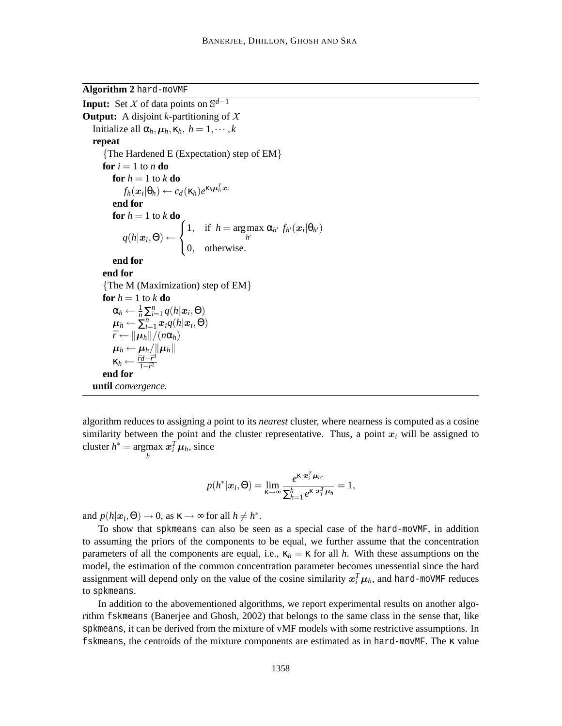**Algorithm 2** hard-moVMF

```
Input: Set X of data points on \mathbb{S}^{d-1}Output: A disjoint k-partitioning of XInitialize all \alpha_h, \mu_h, \kappa_h, h = 1, \dots, krepeat
      {The Hardened E (Expectation) step of EM}
     for i = 1 to n do
          for h = 1 to k do
                f_h(\boldsymbol{x}_i|\theta_h) \leftarrow c_d(\kappa_h)e^{\kappa_h\boldsymbol{\mu}_h^T\boldsymbol{x}_i}end for
          for h = 1 to k do
               q(h|\bm{x}_i,\Theta) \leftarrow\sqrt{ }J
                                        \mathcal{L}1, if h = \argmax\max_{h'} \alpha_{h'} f_{h'}(\boldsymbol{x}_i | \theta_{h'})0, otherwise.
          end for
      end for
      {The M (Maximization) step of EM}
     for h = 1 to k do
           \alpha_h \leftarrow \frac{1}{n} \sum_{i=1}^n q(h|\boldsymbol{x}_i, \Theta)\boldsymbol{\mu}_h \leftarrow \sum_{i=1}^n \boldsymbol{x}_i q(h|\boldsymbol{x}_i, \Theta)\bar{r} \leftarrow ||\mu_h||/(n\alpha_h)\boldsymbol{\mu}_h \leftarrow \boldsymbol{\mu}_h / \|\boldsymbol{\mu}_h\|\kappa_h \leftarrow \frac{\bar{r}d - \bar{r}^3}{1 - \bar{r}^2}1-\bar{r}^2end for
 until convergence.
```
algorithm reduces to assigning a point to its *nearest* cluster, where nearness is computed as a cosine similarity between the point and the cluster representative. Thus, a point  $x_i$  will be assigned to  $cluster h^* = argmax$  $\max_{h} x_i^T \mu_h$ , since

$$
p(h^*|\boldsymbol{x}_i,\Theta)=\lim_{\kappa\to\infty}\frac{e^{\kappa\,\boldsymbol{x}_i^T\,\boldsymbol{\mu}_{h^*}}}{\sum_{h=1}^k e^{\kappa\,\boldsymbol{x}_i^T\,\boldsymbol{\mu}_h}}=1,
$$

and  $p(h|x_i, \Theta) \to 0$ , as  $\kappa \to \infty$  for all  $h \neq h^*$ .

To show that spkmeans can also be seen as a special case of the hard-moVMF, in addition to assuming the priors of the components to be equal, we further assume that the concentration parameters of all the components are equal, i.e.,  $\kappa_h = \kappa$  for all *h*. With these assumptions on the model, the estimation of the common concentration parameter becomes unessential since the hard assignment will depend only on the value of the cosine similarity  $x_i^T \mu_h$ , and hard-moVMF reduces to spkmeans.

In addition to the abovementioned algorithms, we report experimental results on another algorithm fskmeans (Banerjee and Ghosh, 2002) that belongs to the same class in the sense that, like spkmeans, it can be derived from the mixture of vMF models with some restrictive assumptions. In fskmeans, the centroids of the mixture components are estimated as in hard-movMF. The κ value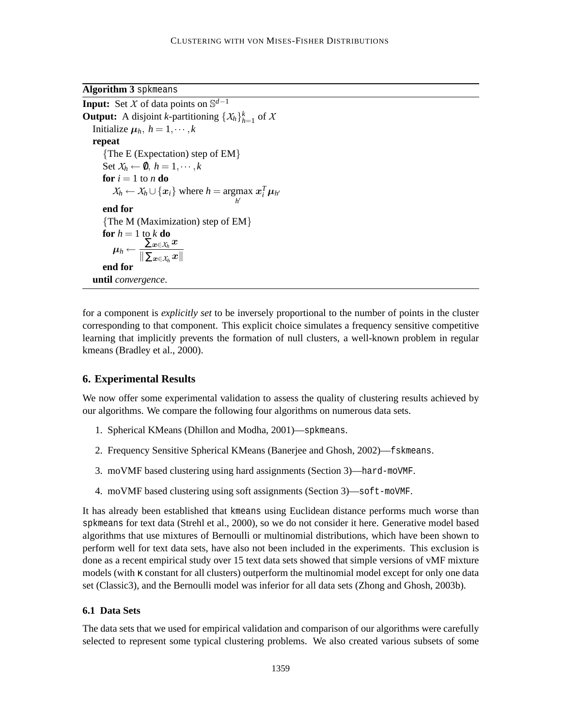**Algorithm 3** spkmeans

```
Input: Set X of data points on \mathbb{S}^{d-1}Output: A disjoint k-partitioning \{X_h\}_{h=1}^k of X
Initialize \mu_h, h = 1, \dots, krepeat
     {The E (Expectation) step of EM}
     Set X_h \leftarrow \emptyset, h = 1, \dots, kfor i = 1 to n do
          X_h \leftarrow X_h \cup \{x_i\} where h = \underset{h'}{\operatorname{argmax}} x_i^T \mu_{h'}end for
     {The M (Maximization) step of EM}
     for h = 1 to k do
          \boldsymbol{\mu}_h \leftarrow \frac{\sum_{\boldsymbol{x} \in \mathcal{X}_h} \boldsymbol{x}}{\|\sum_{\boldsymbol{x} \in \mathcal{X}} \boldsymbol{x}\|}\left\Vert \sum_{\bm{x}\in\mathcal{X}_h}\bm{x}\right\Vertend for
until convergence.
```
for a component is *explicitly set* to be inversely proportional to the number of points in the cluster corresponding to that component. This explicit choice simulates a frequency sensitive competitive learning that implicitly prevents the formation of null clusters, a well-known problem in regular kmeans (Bradley et al., 2000).

## **6. Experimental Results**

We now offer some experimental validation to assess the quality of clustering results achieved by our algorithms. We compare the following four algorithms on numerous data sets.

- 1. Spherical KMeans (Dhillon and Modha, 2001)—spkmeans.
- 2. Frequency Sensitive Spherical KMeans (Banerjee and Ghosh, 2002)—fskmeans.
- 3. moVMF based clustering using hard assignments (Section 3)—hard-moVMF.
- 4. moVMF based clustering using soft assignments (Section 3)—soft-moVMF.

It has already been established that kmeans using Euclidean distance performs much worse than spkmeans for text data (Strehl et al., 2000), so we do not consider it here. Generative model based algorithms that use mixtures of Bernoulli or multinomial distributions, which have been shown to perform well for text data sets, have also not been included in the experiments. This exclusion is done as a recent empirical study over 15 text data sets showed that simple versions of vMF mixture models (with κ constant for all clusters) outperform the multinomial model except for only one data set (Classic3), and the Bernoulli model was inferior for all data sets (Zhong and Ghosh, 2003b).

## **6.1 Data Sets**

The data sets that we used for empirical validation and comparison of our algorithms were carefully selected to represent some typical clustering problems. We also created various subsets of some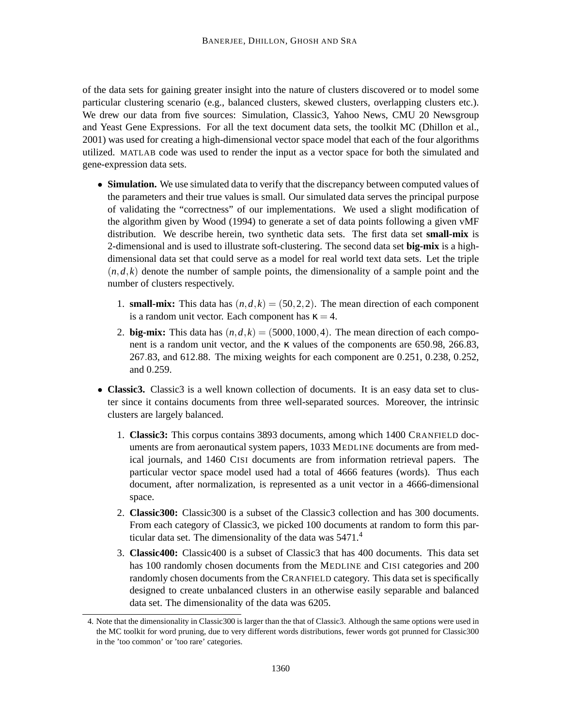of the data sets for gaining greater insight into the nature of clusters discovered or to model some particular clustering scenario (e.g., balanced clusters, skewed clusters, overlapping clusters etc.). We drew our data from five sources: Simulation, Classic3, Yahoo News, CMU 20 Newsgroup and Yeast Gene Expressions. For all the text document data sets, the toolkit MC (Dhillon et al., 2001) was used for creating a high-dimensional vector space model that each of the four algorithms utilized. MATLAB code was used to render the input as a vector space for both the simulated and gene-expression data sets.

- **Simulation.** We use simulated data to verify that the discrepancy between computed values of the parameters and their true values is small. Our simulated data serves the principal purpose of validating the "correctness" of our implementations. We used a slight modification of the algorithm given by Wood (1994) to generate a set of data points following a given vMF distribution. We describe herein, two synthetic data sets. The first data set **small-mix** is 2-dimensional and is used to illustrate soft-clustering. The second data set **big-mix** is a highdimensional data set that could serve as a model for real world text data sets. Let the triple  $(n,d,k)$  denote the number of sample points, the dimensionality of a sample point and the number of clusters respectively.
	- 1. **small-mix:** This data has  $(n,d,k) = (50,2,2)$ . The mean direction of each component is a random unit vector. Each component has  $\kappa = 4$ .
	- 2. **big-mix:** This data has  $(n, d, k) = (5000, 1000, 4)$ . The mean direction of each component is a random unit vector, and the κ values of the components are 650.98, 266.83, 267.83, and 612.88. The mixing weights for each component are 0.251, 0.238, 0.252, and 0.259.
- **Classic3.** Classic3 is a well known collection of documents. It is an easy data set to cluster since it contains documents from three well-separated sources. Moreover, the intrinsic clusters are largely balanced.
	- 1. **Classic3:** This corpus contains 3893 documents, among which 1400 CRANFIELD documents are from aeronautical system papers, 1033 MEDLINE documents are from medical journals, and 1460 CISI documents are from information retrieval papers. The particular vector space model used had a total of 4666 features (words). Thus each document, after normalization, is represented as a unit vector in a 4666-dimensional space.
	- 2. **Classic300:** Classic300 is a subset of the Classic3 collection and has 300 documents. From each category of Classic3, we picked 100 documents at random to form this particular data set. The dimensionality of the data was 5471.<sup>4</sup>
	- 3. **Classic400:** Classic400 is a subset of Classic3 that has 400 documents. This data set has 100 randomly chosen documents from the MEDLINE and CISI categories and 200 randomly chosen documents from the CRANFIELD category. This data set is specifically designed to create unbalanced clusters in an otherwise easily separable and balanced data set. The dimensionality of the data was 6205.

<sup>4.</sup> Note that the dimensionality in Classic300 is larger than the that of Classic3. Although the same options were used in the MC toolkit for word pruning, due to very different words distributions, fewer words got prunned for Classic300 in the 'too common' or 'too rare' categories.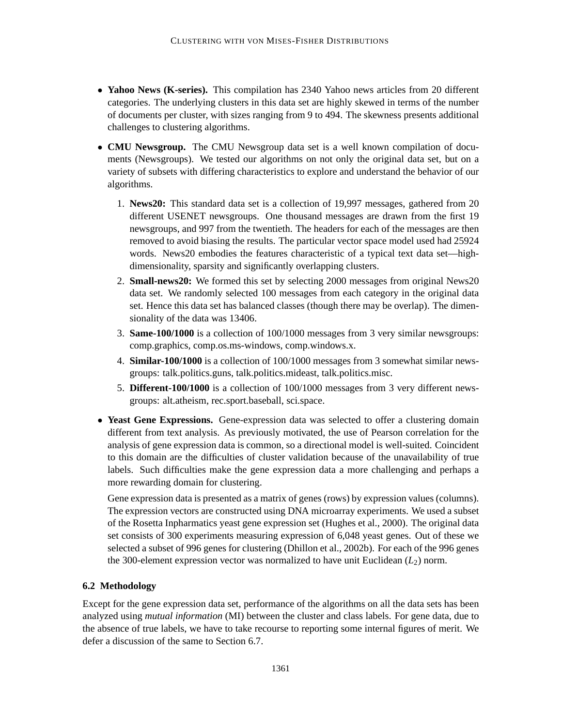- Yahoo News (K-series). This compilation has 2340 Yahoo news articles from 20 different categories. The underlying clusters in this data set are highly skewed in terms of the number of documents per cluster, with sizes ranging from 9 to 494. The skewness presents additional challenges to clustering algorithms.
- **CMU Newsgroup.** The CMU Newsgroup data set is a well known compilation of documents (Newsgroups). We tested our algorithms on not only the original data set, but on a variety of subsets with differing characteristics to explore and understand the behavior of our algorithms.
	- 1. **News20:** This standard data set is a collection of 19,997 messages, gathered from 20 different USENET newsgroups. One thousand messages are drawn from the first 19 newsgroups, and 997 from the twentieth. The headers for each of the messages are then removed to avoid biasing the results. The particular vector space model used had 25924 words. News20 embodies the features characteristic of a typical text data set—highdimensionality, sparsity and significantly overlapping clusters.
	- 2. **Small-news20:** We formed this set by selecting 2000 messages from original News20 data set. We randomly selected 100 messages from each category in the original data set. Hence this data set has balanced classes (though there may be overlap). The dimensionality of the data was 13406.
	- 3. **Same-100/1000** is a collection of 100/1000 messages from 3 very similar newsgroups: comp.graphics, comp.os.ms-windows, comp.windows.x.
	- 4. **Similar-100/1000** is a collection of 100/1000 messages from 3 somewhat similar newsgroups: talk.politics.guns, talk.politics.mideast, talk.politics.misc.
	- 5. **Different-100/1000** is a collection of 100/1000 messages from 3 very different newsgroups: alt.atheism, rec.sport.baseball, sci.space.
- Yeast Gene Expressions. Gene-expression data was selected to offer a clustering domain different from text analysis. As previously motivated, the use of Pearson correlation for the analysis of gene expression data is common, so a directional model is well-suited. Coincident to this domain are the difficulties of cluster validation because of the unavailability of true labels. Such difficulties make the gene expression data a more challenging and perhaps a more rewarding domain for clustering.

Gene expression data is presented as a matrix of genes (rows) by expression values (columns). The expression vectors are constructed using DNA microarray experiments. We used a subset of the Rosetta Inpharmatics yeast gene expression set (Hughes et al., 2000). The original data set consists of 300 experiments measuring expression of 6,048 yeast genes. Out of these we selected a subset of 996 genes for clustering (Dhillon et al., 2002b). For each of the 996 genes the 300-element expression vector was normalized to have unit Euclidean  $(L_2)$  norm.

## **6.2 Methodology**

Except for the gene expression data set, performance of the algorithms on all the data sets has been analyzed using *mutual information* (MI) between the cluster and class labels. For gene data, due to the absence of true labels, we have to take recourse to reporting some internal figures of merit. We defer a discussion of the same to Section 6.7.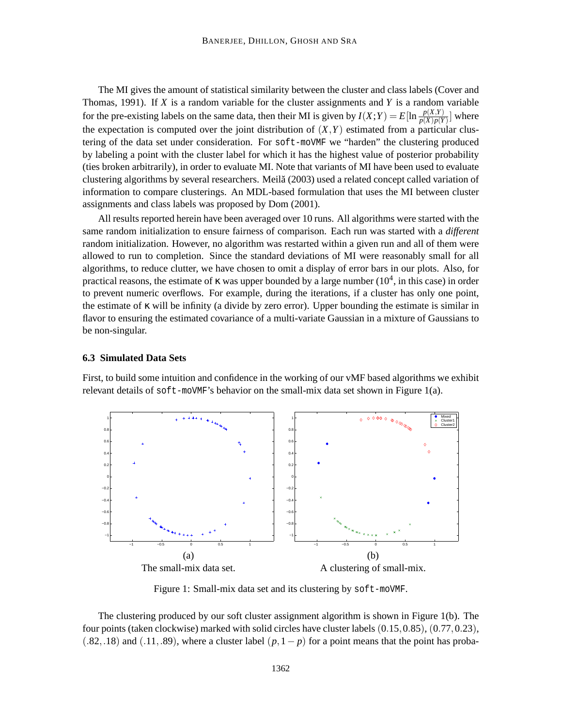The MI gives the amount of statistical similarity between the cluster and class labels (Cover and Thomas, 1991). If *X* is a random variable for the cluster assignments and *Y* is a random variable for the pre-existing labels on the same data, then their MI is given by  $I(X;Y) = E[\ln \frac{p(X,Y)}{p(X)p(Y)}]$  where the expectation is computed over the joint distribution of  $(X, Y)$  estimated from a particular clustering of the data set under consideration. For soft-moVMF we "harden" the clustering produced by labeling a point with the cluster label for which it has the highest value of posterior probability (ties broken arbitrarily), in order to evaluate MI. Note that variants of MI have been used to evaluate clustering algorithms by several researchers. Meila (2003) used a related concept called variation of ˘ information to compare clusterings. An MDL-based formulation that uses the MI between cluster assignments and class labels was proposed by Dom (2001).

All results reported herein have been averaged over 10 runs. All algorithms were started with the same random initialization to ensure fairness of comparison. Each run was started with a *different* random initialization. However, no algorithm was restarted within a given run and all of them were allowed to run to completion. Since the standard deviations of MI were reasonably small for all algorithms, to reduce clutter, we have chosen to omit a display of error bars in our plots. Also, for practical reasons, the estimate of  $\kappa$  was upper bounded by a large number (10<sup>4</sup>, in this case) in order to prevent numeric overflows. For example, during the iterations, if a cluster has only one point, the estimate of κ will be infinity (a divide by zero error). Upper bounding the estimate is similar in flavor to ensuring the estimated covariance of a multi-variate Gaussian in a mixture of Gaussians to be non-singular.

#### **6.3 Simulated Data Sets**

First, to build some intuition and confidence in the working of our vMF based algorithms we exhibit relevant details of soft-moVMF's behavior on the small-mix data set shown in Figure 1(a).



Figure 1: Small-mix data set and its clustering by soft-moVMF.

The clustering produced by our soft cluster assignment algorithm is shown in Figure 1(b). The four points (taken clockwise) marked with solid circles have cluster labels (0.15,0.85), (0.77,0.23),  $(.82, .18)$  and  $(.11, .89)$ , where a cluster label  $(p, 1-p)$  for a point means that the point has proba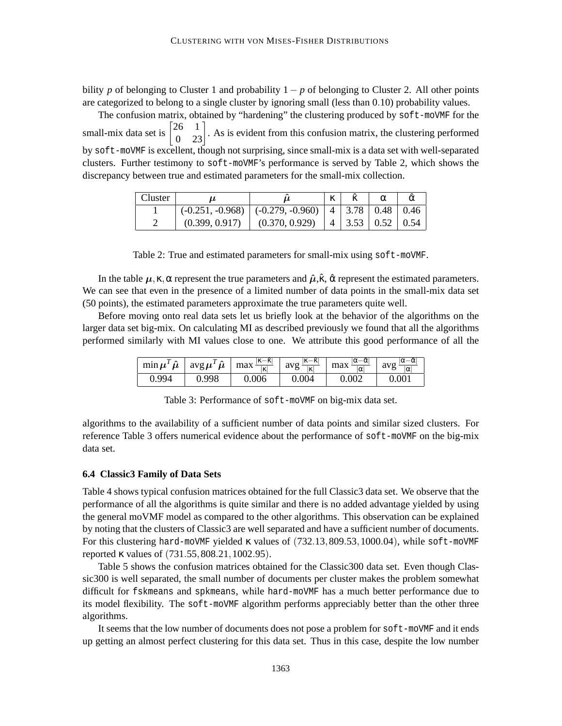bility *p* of belonging to Cluster 1 and probability 1− *p* of belonging to Cluster 2. All other points are categorized to belong to a single cluster by ignoring small (less than 0.10) probability values.

The confusion matrix, obtained by "hardening" the clustering produced by soft-moVMF for the small-mix data set is  $\begin{bmatrix} 26 & 1 \\ 0 & 23 \end{bmatrix}$ . As is evident from this confusion matrix, the clustering performed by soft-moVMF is excellent, though not surprising, since small-mix is a data set with well-separated clusters. Further testimony to soft-moVMF's performance is served by Table 2, which shows the discrepancy between true and estimated parameters for the small-mix collection.

| Cluster |                |                                                                                    | $\mathcal{L}$<br>N |                                |  |
|---------|----------------|------------------------------------------------------------------------------------|--------------------|--------------------------------|--|
|         |                | $(-0.251, -0.968)$ $(-0.279, -0.960)$ $\mid$ 4 $\mid$ 3.78 $\mid$ 0.48 $\mid$ 0.46 |                    |                                |  |
|         | (0.399, 0.917) | (0.370, 0.929)                                                                     |                    | $\vert$ 4   3.53   0.52   0.54 |  |

Table 2: True and estimated parameters for small-mix using soft-moVMF.

In the table  $\mu$ , κ, α represent the true parameters and  $\hat{\mu}$ ,  $\hat{\kappa}$ ,  $\hat{\alpha}$  represent the estimated parameters. We can see that even in the presence of a limited number of data points in the small-mix data set (50 points), the estimated parameters approximate the true parameters quite well.

Before moving onto real data sets let us briefly look at the behavior of the algorithms on the larger data set big-mix. On calculating MI as described previously we found that all the algorithms performed similarly with MI values close to one. We attribute this good performance of all the

| $\hat{\boldsymbol{\mu}}$<br>$\min \mu'$ | $\hat{\boldsymbol{\mu}}$<br>avg $\mu^I$ | $ \kappa-$<br>الحراء<br>K.<br>max<br>к | $ \kappa-\hat{\kappa} $<br>∸K∥<br>avg<br>ہے<br>ΙK | $ \alpha-\alpha $<br>max<br>α | انتصاحا<br>$-\alpha$<br>9V <sub>0</sub><br>$\alpha$ |
|-----------------------------------------|-----------------------------------------|----------------------------------------|---------------------------------------------------|-------------------------------|-----------------------------------------------------|
| 0.994                                   |                                         | 0.006                                  | 0.004                                             |                               |                                                     |

Table 3: Performance of soft-moVMF on big-mix data set.

algorithms to the availability of a sufficient number of data points and similar sized clusters. For reference Table 3 offers numerical evidence about the performance of soft-moVMF on the big-mix data set.

## **6.4 Classic3 Family of Data Sets**

Table 4 shows typical confusion matrices obtained for the full Classic3 data set. We observe that the performance of all the algorithms is quite similar and there is no added advantage yielded by using the general moVMF model as compared to the other algorithms. This observation can be explained by noting that the clusters of Classic3 are well separated and have a sufficient number of documents. For this clustering hard-moVMF yielded  $\kappa$  values of (732.13,809.53,1000.04), while soft-moVMF reported κ values of (731.55,808.21,1002.95).

Table 5 shows the confusion matrices obtained for the Classic300 data set. Even though Classic300 is well separated, the small number of documents per cluster makes the problem somewhat difficult for fskmeans and spkmeans, while hard-moVMF has a much better performance due to its model flexibility. The soft-moVMF algorithm performs appreciably better than the other three algorithms.

It seems that the low number of documents does not pose a problem for soft-moVMF and it ends up getting an almost perfect clustering for this data set. Thus in this case, despite the low number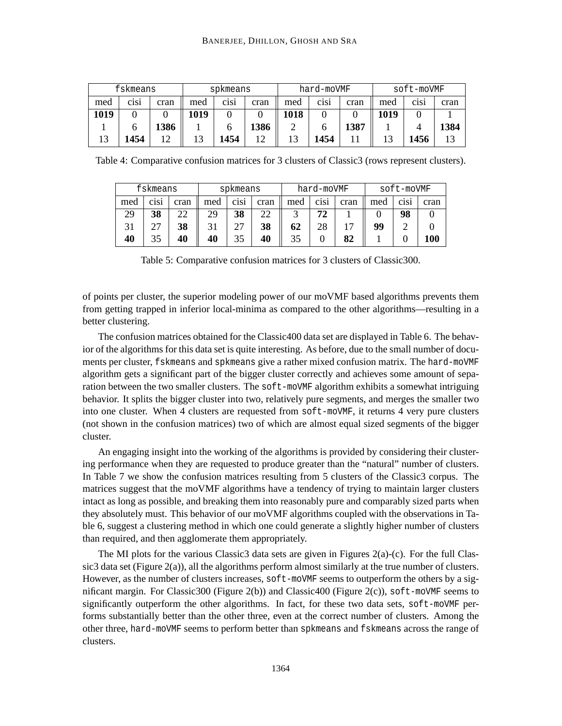|      | fskmeans |      | spkmeans |      |      | hard-moVMF |      |      | soft-moVMF |                               |      |
|------|----------|------|----------|------|------|------------|------|------|------------|-------------------------------|------|
| med  | C1S1     | cran | med      | C1S1 | cran | med        | C1S1 | cran | med        | C <sub>1</sub> S <sub>1</sub> | cran |
| 1019 |          |      | 1019     |      |      | 1018       |      |      | 1019       |                               |      |
|      |          | 1386 |          |      | 1386 |            |      | 1387 |            |                               | 1384 |
|      | 1454     |      |          | 1454 | 1 າ  |            | 1454 |      |            | 1456                          |      |

Table 4: Comparative confusion matrices for 3 clusters of Classic3 (rows represent clusters).

|     | fskmeans |      | spkmeans |                               | hard-moVMF |     |                               | soft-moVMF |     |             |      |
|-----|----------|------|----------|-------------------------------|------------|-----|-------------------------------|------------|-----|-------------|------|
| med | C1S1     | cran | med      | C <sub>1</sub> S <sub>1</sub> | cran       | med | C <sub>1</sub> S <sub>1</sub> | cran       | med | <b>C1S1</b> | cran |
| 29  | 38       | າາ   | 29       | 38                            | 22         |     | 72                            |            |     | 98          |      |
|     | つつ       | 38   | 31       | 27                            | 38         | 62  | 28                            |            | 99  |             |      |
| 40  | 35       | 40   | 40       | 35                            | 40         |     |                               | 82         |     |             | l00  |

Table 5: Comparative confusion matrices for 3 clusters of Classic300.

of points per cluster, the superior modeling power of our moVMF based algorithms prevents them from getting trapped in inferior local-minima as compared to the other algorithms—resulting in a better clustering.

The confusion matrices obtained for the Classic400 data set are displayed in Table 6. The behavior of the algorithms for this data set is quite interesting. As before, due to the small number of documents per cluster, fskmeans and spkmeans give a rather mixed confusion matrix. The hard-moVMF algorithm gets a significant part of the bigger cluster correctly and achieves some amount of separation between the two smaller clusters. The soft-moVMF algorithm exhibits a somewhat intriguing behavior. It splits the bigger cluster into two, relatively pure segments, and merges the smaller two into one cluster. When 4 clusters are requested from soft-moVMF, it returns 4 very pure clusters (not shown in the confusion matrices) two of which are almost equal sized segments of the bigger cluster.

An engaging insight into the working of the algorithms is provided by considering their clustering performance when they are requested to produce greater than the "natural" number of clusters. In Table 7 we show the confusion matrices resulting from 5 clusters of the Classic3 corpus. The matrices suggest that the moVMF algorithms have a tendency of trying to maintain larger clusters intact as long as possible, and breaking them into reasonably pure and comparably sized parts when they absolutely must. This behavior of our moVMF algorithms coupled with the observations in Table 6, suggest a clustering method in which one could generate a slightly higher number of clusters than required, and then agglomerate them appropriately.

The MI plots for the various Classic3 data sets are given in Figures 2(a)-(c). For the full Classic3 data set (Figure 2(a)), all the algorithms perform almost similarly at the true number of clusters. However, as the number of clusters increases, soft-moVMF seems to outperform the others by a significant margin. For Classic300 (Figure 2(b)) and Classic400 (Figure 2(c)), soft-moVMF seems to significantly outperform the other algorithms. In fact, for these two data sets, soft-moVMF performs substantially better than the other three, even at the correct number of clusters. Among the other three, hard-moVMF seems to perform better than spkmeans and fskmeans across the range of clusters.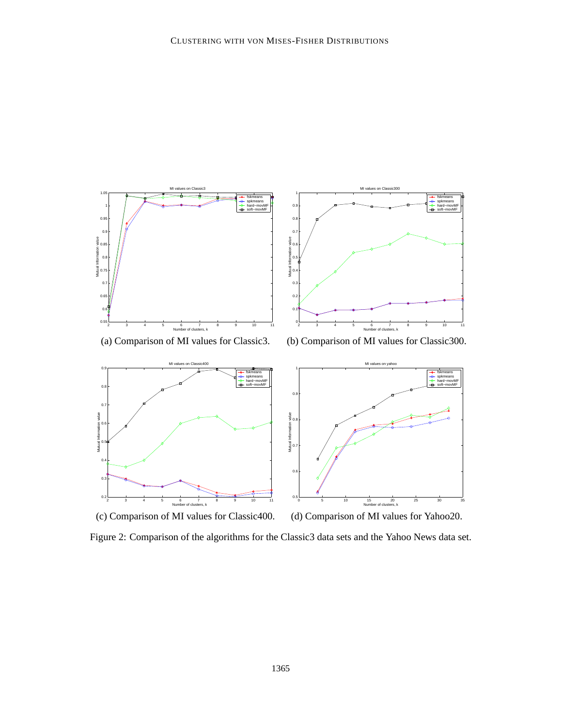

Figure 2: Comparison of the algorithms for the Classic3 data sets and the Yahoo News data set.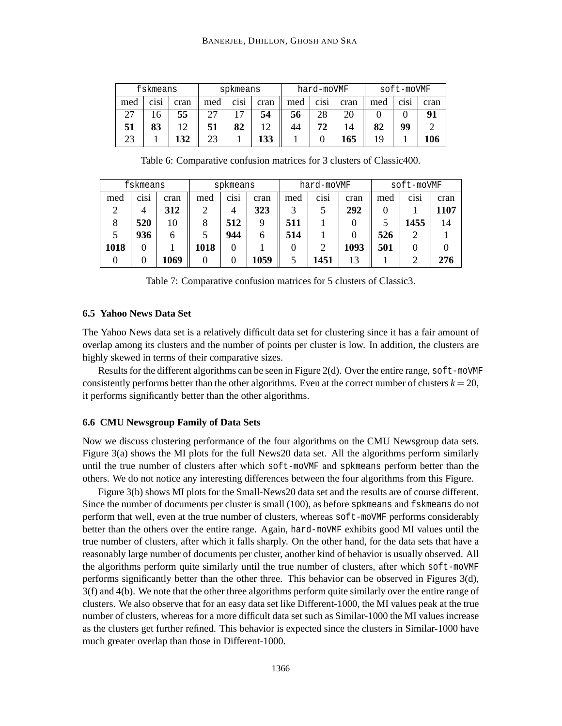|     | fskmeans |      |     | spkmeans |      |     | hard-moVMF                    |      |     | soft-moVMF                    |      |
|-----|----------|------|-----|----------|------|-----|-------------------------------|------|-----|-------------------------------|------|
| med | C1S1     | cran | med | C1S1     | cran | med | C <sub>1</sub> S <sub>1</sub> | cran | med | C <sub>1</sub> S <sub>1</sub> | cran |
| วร  | 16       | 55   |     | דו       | 54   | 56  | 28                            |      |     |                               | 91   |
| 51  | 83       | 1 າ  | 51  | 82       | 12   |     |                               |      | 82  | 99                            |      |
| 23  |          | 132  | 23  |          | 133  |     |                               | 165  | 19  |                               | .06  |

Table 6: Comparative confusion matrices for 3 clusters of Classic400.

|      | fskmeans                      |      | spkmeans |                               | hard-moVMF |     |                               | soft-moVMF |     |                               |      |
|------|-------------------------------|------|----------|-------------------------------|------------|-----|-------------------------------|------------|-----|-------------------------------|------|
| med  | C <sub>1</sub> S <sub>1</sub> | cran | med      | C <sub>1</sub> S <sub>1</sub> | cran       | med | C <sub>1</sub> S <sub>1</sub> | cran       | med | C <sub>1</sub> S <sub>1</sub> | cran |
|      | 4                             | 312  |          | 4                             | 323        | 3   |                               | 292        |     |                               | 1107 |
|      | 520                           | 10   |          | 512                           |            | 511 |                               |            |     | 1455                          | 14   |
|      | 936                           | h    |          | 944                           | 6          | 514 |                               |            | 526 |                               |      |
| 1018 | 0                             |      | 1018     | 0                             |            |     |                               | 1093       | 501 |                               |      |
|      |                               | 1069 |          |                               | 1059       |     | 1451                          | 13         |     |                               | 276  |

Table 7: Comparative confusion matrices for 5 clusters of Classic3.

## **6.5 Yahoo News Data Set**

The Yahoo News data set is a relatively difficult data set for clustering since it has a fair amount of overlap among its clusters and the number of points per cluster is low. In addition, the clusters are highly skewed in terms of their comparative sizes.

Results for the different algorithms can be seen in Figure 2(d). Over the entire range, soft-moVMF consistently performs better than the other algorithms. Even at the correct number of clusters  $k = 20$ , it performs significantly better than the other algorithms.

## **6.6 CMU Newsgroup Family of Data Sets**

Now we discuss clustering performance of the four algorithms on the CMU Newsgroup data sets. Figure 3(a) shows the MI plots for the full News20 data set. All the algorithms perform similarly until the true number of clusters after which soft-moVMF and spkmeans perform better than the others. We do not notice any interesting differences between the four algorithms from this Figure.

Figure 3(b) shows MI plots for the Small-News20 data set and the results are of course different. Since the number of documents per cluster is small (100), as before spkmeans and fskmeans do not perform that well, even at the true number of clusters, whereas soft-moVMF performs considerably better than the others over the entire range. Again, hard-moVMF exhibits good MI values until the true number of clusters, after which it falls sharply. On the other hand, for the data sets that have a reasonably large number of documents per cluster, another kind of behavior is usually observed. All the algorithms perform quite similarly until the true number of clusters, after which soft-moVMF performs significantly better than the other three. This behavior can be observed in Figures 3(d), 3(f) and 4(b). We note that the other three algorithms perform quite similarly over the entire range of clusters. We also observe that for an easy data set like Different-1000, the MI values peak at the true number of clusters, whereas for a more difficult data set such as Similar-1000 the MI values increase as the clusters get further refined. This behavior is expected since the clusters in Similar-1000 have much greater overlap than those in Different-1000.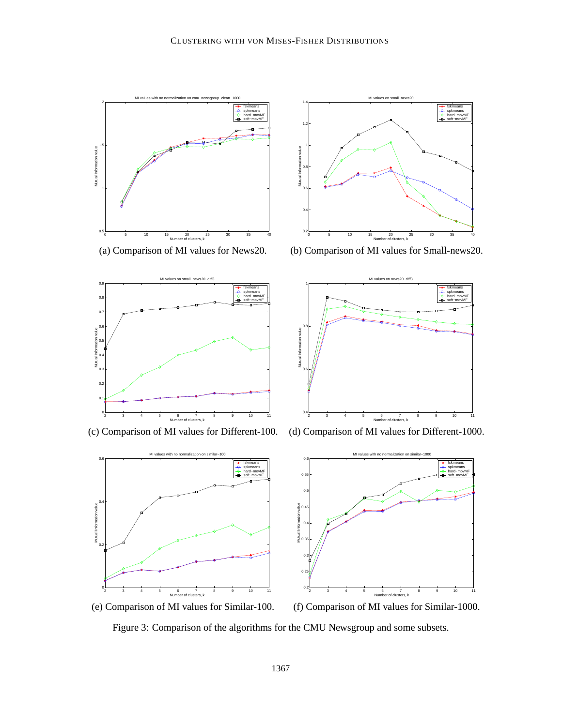



(a) Comparison of MI values for News20. (b) Comparison of MI values for Small-news20.





(c) Comparison of MI values for Different-100. (d) Comparison of MI values for Different-1000.



Figure 3: Comparison of the algorithms for the CMU Newsgroup and some subsets.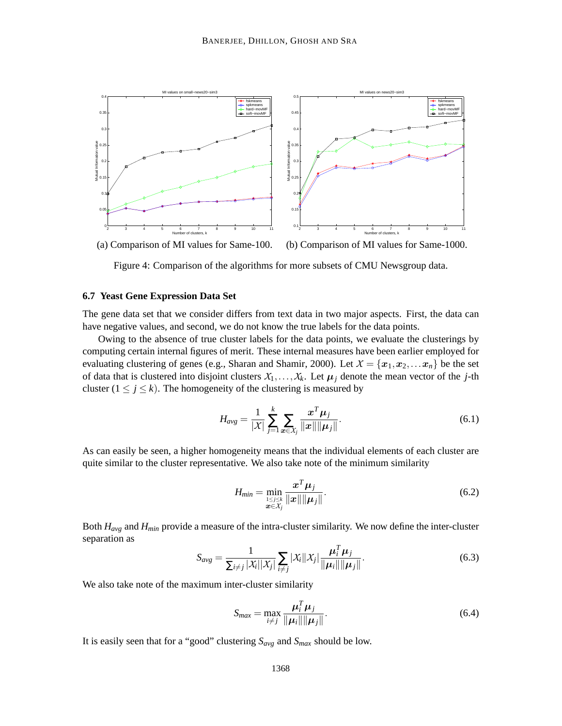

Figure 4: Comparison of the algorithms for more subsets of CMU Newsgroup data.

### **6.7 Yeast Gene Expression Data Set**

The gene data set that we consider differs from text data in two major aspects. First, the data can have negative values, and second, we do not know the true labels for the data points.

Owing to the absence of true cluster labels for the data points, we evaluate the clusterings by computing certain internal figures of merit. These internal measures have been earlier employed for evaluating clustering of genes (e.g., Sharan and Shamir, 2000). Let  $X = \{x_1, x_2, \dots x_n\}$  be the set of data that is clustered into disjoint clusters  $X_1, \ldots, X_k$ . Let  $\mu_j$  denote the mean vector of the *j*-th cluster  $(1 \le j \le k)$ . The homogeneity of the clustering is measured by

$$
H_{avg} = \frac{1}{|\mathcal{X}|} \sum_{j=1}^{k} \sum_{\bm{x} \in \mathcal{X}_j} \frac{\bm{x}^T \bm{\mu}_j}{\|\bm{x}\| \|\bm{\mu}_j\|}.
$$
 (6.1)

As can easily be seen, a higher homogeneity means that the individual elements of each cluster are quite similar to the cluster representative. We also take note of the minimum similarity

$$
H_{min} = \min_{\substack{1 \leq j \leq k \\ \boldsymbol{x} \in \mathcal{X}_j}} \frac{\boldsymbol{x}^T \boldsymbol{\mu}_j}{\|\boldsymbol{x}\| \|\boldsymbol{\mu}_j\|}.
$$
\n(6.2)

Both *Havg* and *Hmin* provide a measure of the intra-cluster similarity. We now define the inter-cluster separation as

$$
S_{avg} = \frac{1}{\sum_{i \neq j} |\mathcal{X}_i||\mathcal{X}_j|} \sum_{i \neq j} |\mathcal{X}_i||\mathcal{X}_j| \frac{\boldsymbol{\mu}_i^T \boldsymbol{\mu}_j}{\|\boldsymbol{\mu}_i\| \|\boldsymbol{\mu}_j\|}.
$$
(6.3)

We also take note of the maximum inter-cluster similarity

$$
S_{max} = \max_{i \neq j} \frac{\mu_i^T \mu_j}{\|\mu_i\| \|\mu_j\|}.
$$
 (6.4)

It is easily seen that for a "good" clustering *Savg* and *Smax* should be low.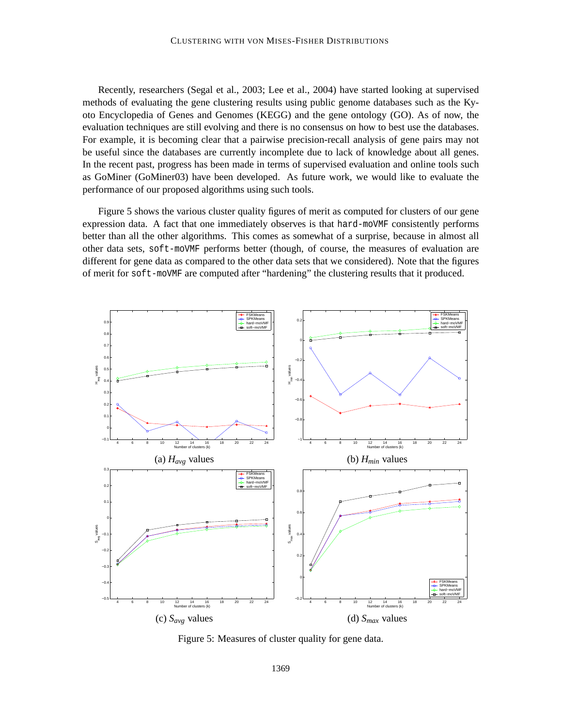Recently, researchers (Segal et al., 2003; Lee et al., 2004) have started looking at supervised methods of evaluating the gene clustering results using public genome databases such as the Kyoto Encyclopedia of Genes and Genomes (KEGG) and the gene ontology (GO). As of now, the evaluation techniques are still evolving and there is no consensus on how to best use the databases. For example, it is becoming clear that a pairwise precision-recall analysis of gene pairs may not be useful since the databases are currently incomplete due to lack of knowledge about all genes. In the recent past, progress has been made in terms of supervised evaluation and online tools such as GoMiner (GoMiner03) have been developed. As future work, we would like to evaluate the performance of our proposed algorithms using such tools.

Figure 5 shows the various cluster quality figures of merit as computed for clusters of our gene expression data. A fact that one immediately observes is that hard-moVMF consistently performs better than all the other algorithms. This comes as somewhat of a surprise, because in almost all other data sets, soft-moVMF performs better (though, of course, the measures of evaluation are different for gene data as compared to the other data sets that we considered). Note that the figures of merit for soft-moVMF are computed after "hardening" the clustering results that it produced.



Figure 5: Measures of cluster quality for gene data.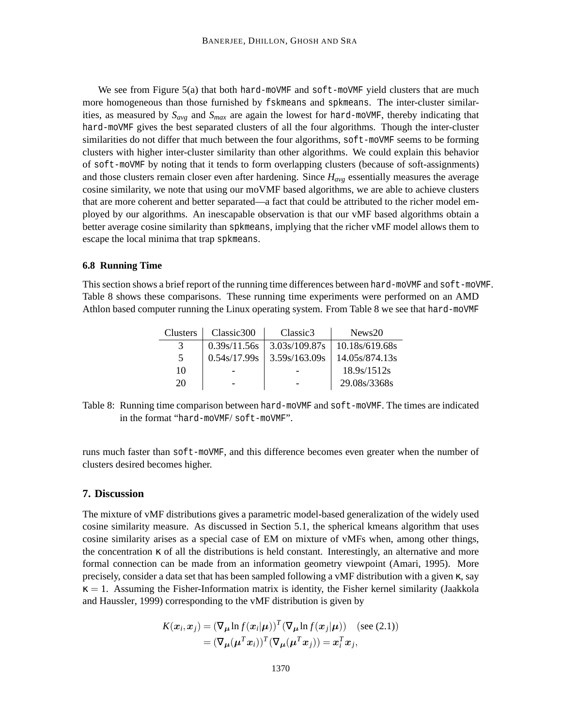We see from Figure 5(a) that both hard-moVMF and soft-moVMF yield clusters that are much more homogeneous than those furnished by fskmeans and spkmeans. The inter-cluster similarities, as measured by *Savg* and *Smax* are again the lowest for hard-moVMF, thereby indicating that hard-moVMF gives the best separated clusters of all the four algorithms. Though the inter-cluster similarities do not differ that much between the four algorithms, soft-moVMF seems to be forming clusters with higher inter-cluster similarity than other algorithms. We could explain this behavior of soft-moVMF by noting that it tends to form overlapping clusters (because of soft-assignments) and those clusters remain closer even after hardening. Since *Havg* essentially measures the average cosine similarity, we note that using our moVMF based algorithms, we are able to achieve clusters that are more coherent and better separated—a fact that could be attributed to the richer model employed by our algorithms. An inescapable observation is that our vMF based algorithms obtain a better average cosine similarity than spkmeans, implying that the richer vMF model allows them to escape the local minima that trap spkmeans.

#### **6.8 Running Time**

This section shows a brief report of the running time differences between hard-moVMF and soft-moVMF. Table 8 shows these comparisons. These running time experiments were performed on an AMD Athlon based computer running the Linux operating system. From Table 8 we see that hard-moVMF

| Clusters | Classic300   | Classic <sub>3</sub> | News <sub>20</sub> |
|----------|--------------|----------------------|--------------------|
|          | 0.39s/11.56s | 3.03s/109.87s        | 10.18s/619.68s     |
| 5        | 0.54s/17.99s | 3.59s/163.09s        | 14.05s/874.13s     |
| 10       |              |                      | 18.9s/1512s        |
| 20       |              |                      | 29.08s/3368s       |

Table 8: Running time comparison between hard-moVMF and soft-moVMF. The times are indicated in the format "hard-moVMF/ soft-moVMF".

runs much faster than soft-moVMF, and this difference becomes even greater when the number of clusters desired becomes higher.

## **7. Discussion**

The mixture of vMF distributions gives a parametric model-based generalization of the widely used cosine similarity measure. As discussed in Section 5.1, the spherical kmeans algorithm that uses cosine similarity arises as a special case of EM on mixture of vMFs when, among other things, the concentration κ of all the distributions is held constant. Interestingly, an alternative and more formal connection can be made from an information geometry viewpoint (Amari, 1995). More precisely, consider a data set that has been sampled following a vMF distribution with a given κ, say  $\kappa = 1$ . Assuming the Fisher-Information matrix is identity, the Fisher kernel similarity (Jaakkola and Haussler, 1999) corresponding to the vMF distribution is given by

$$
K(\boldsymbol{x}_i, \boldsymbol{x}_j) = (\nabla_{\boldsymbol{\mu}} \ln f(\boldsymbol{x}_i | \boldsymbol{\mu}))^T (\nabla_{\boldsymbol{\mu}} \ln f(\boldsymbol{x}_j | \boldsymbol{\mu})) \quad (\text{see (2.1)})
$$

$$
= (\nabla_{\boldsymbol{\mu}} (\boldsymbol{\mu}^T \boldsymbol{x}_i))^T (\nabla_{\boldsymbol{\mu}} (\boldsymbol{\mu}^T \boldsymbol{x}_j)) = \boldsymbol{x}_i^T \boldsymbol{x}_j,
$$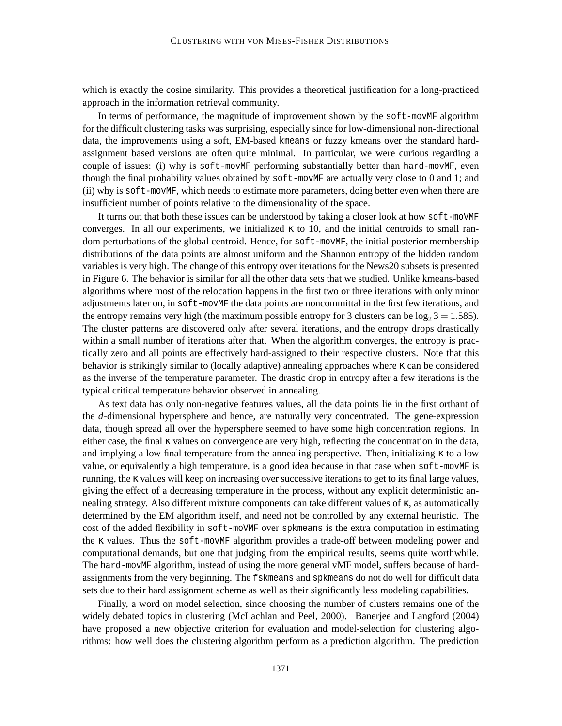which is exactly the cosine similarity. This provides a theoretical justification for a long-practiced approach in the information retrieval community.

In terms of performance, the magnitude of improvement shown by the soft-movMF algorithm for the difficult clustering tasks was surprising, especially since for low-dimensional non-directional data, the improvements using a soft, EM-based kmeans or fuzzy kmeans over the standard hardassignment based versions are often quite minimal. In particular, we were curious regarding a couple of issues: (i) why is soft-movMF performing substantially better than hard-movMF, even though the final probability values obtained by soft-movMF are actually very close to 0 and 1; and (ii) why is soft-movMF, which needs to estimate more parameters, doing better even when there are insufficient number of points relative to the dimensionality of the space.

It turns out that both these issues can be understood by taking a closer look at how soft-moVMF converges. In all our experiments, we initialized  $\kappa$  to 10, and the initial centroids to small random perturbations of the global centroid. Hence, for soft-movMF, the initial posterior membership distributions of the data points are almost uniform and the Shannon entropy of the hidden random variables is very high. The change of this entropy over iterations for the News20 subsets is presented in Figure 6. The behavior is similar for all the other data sets that we studied. Unlike kmeans-based algorithms where most of the relocation happens in the first two or three iterations with only minor adjustments later on, in soft-movMF the data points are noncommittal in the first few iterations, and the entropy remains very high (the maximum possible entropy for 3 clusters can be  $log_2 3 = 1.585$ ). The cluster patterns are discovered only after several iterations, and the entropy drops drastically within a small number of iterations after that. When the algorithm converges, the entropy is practically zero and all points are effectively hard-assigned to their respective clusters. Note that this behavior is strikingly similar to (locally adaptive) annealing approaches where κ can be considered as the inverse of the temperature parameter. The drastic drop in entropy after a few iterations is the typical critical temperature behavior observed in annealing.

As text data has only non-negative features values, all the data points lie in the first orthant of the *d*-dimensional hypersphere and hence, are naturally very concentrated. The gene-expression data, though spread all over the hypersphere seemed to have some high concentration regions. In either case, the final κ values on convergence are very high, reflecting the concentration in the data, and implying a low final temperature from the annealing perspective. Then, initializing  $\kappa$  to a low value, or equivalently a high temperature, is a good idea because in that case when soft-movMF is running, the κ values will keep on increasing over successive iterations to get to its final large values, giving the effect of a decreasing temperature in the process, without any explicit deterministic annealing strategy. Also different mixture components can take different values of κ, as automatically determined by the EM algorithm itself, and need not be controlled by any external heuristic. The cost of the added flexibility in soft-moVMF over spkmeans is the extra computation in estimating the κ values. Thus the soft-movMF algorithm provides a trade-off between modeling power and computational demands, but one that judging from the empirical results, seems quite worthwhile. The hard-movMF algorithm, instead of using the more general vMF model, suffers because of hardassignments from the very beginning. The fskmeans and spkmeans do not do well for difficult data sets due to their hard assignment scheme as well as their significantly less modeling capabilities.

Finally, a word on model selection, since choosing the number of clusters remains one of the widely debated topics in clustering (McLachlan and Peel, 2000). Banerjee and Langford (2004) have proposed a new objective criterion for evaluation and model-selection for clustering algorithms: how well does the clustering algorithm perform as a prediction algorithm. The prediction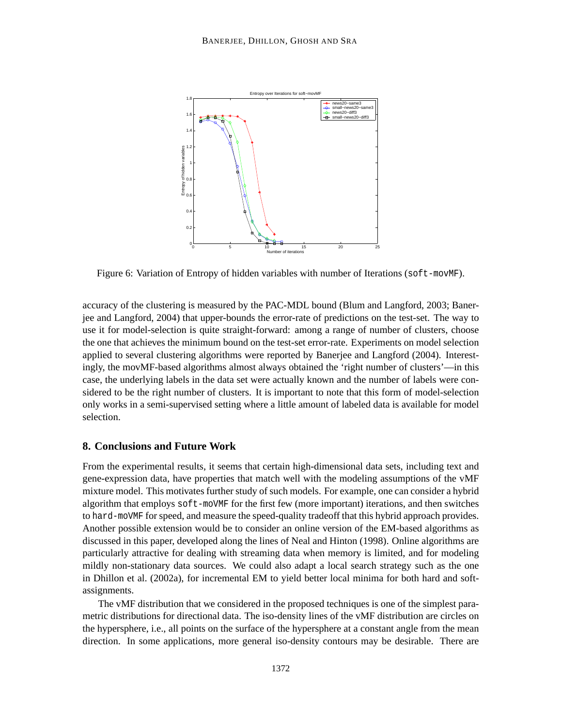

Figure 6: Variation of Entropy of hidden variables with number of Iterations (soft-movMF).

accuracy of the clustering is measured by the PAC-MDL bound (Blum and Langford, 2003; Banerjee and Langford, 2004) that upper-bounds the error-rate of predictions on the test-set. The way to use it for model-selection is quite straight-forward: among a range of number of clusters, choose the one that achieves the minimum bound on the test-set error-rate. Experiments on model selection applied to several clustering algorithms were reported by Banerjee and Langford (2004). Interestingly, the movMF-based algorithms almost always obtained the 'right number of clusters'—in this case, the underlying labels in the data set were actually known and the number of labels were considered to be the right number of clusters. It is important to note that this form of model-selection only works in a semi-supervised setting where a little amount of labeled data is available for model selection.

## **8. Conclusions and Future Work**

From the experimental results, it seems that certain high-dimensional data sets, including text and gene-expression data, have properties that match well with the modeling assumptions of the vMF mixture model. This motivates further study of such models. For example, one can consider a hybrid algorithm that employs soft-moVMF for the first few (more important) iterations, and then switches to hard-moVMF for speed, and measure the speed-quality tradeoff that this hybrid approach provides. Another possible extension would be to consider an online version of the EM-based algorithms as discussed in this paper, developed along the lines of Neal and Hinton (1998). Online algorithms are particularly attractive for dealing with streaming data when memory is limited, and for modeling mildly non-stationary data sources. We could also adapt a local search strategy such as the one in Dhillon et al. (2002a), for incremental EM to yield better local minima for both hard and softassignments.

The vMF distribution that we considered in the proposed techniques is one of the simplest parametric distributions for directional data. The iso-density lines of the vMF distribution are circles on the hypersphere, i.e., all points on the surface of the hypersphere at a constant angle from the mean direction. In some applications, more general iso-density contours may be desirable. There are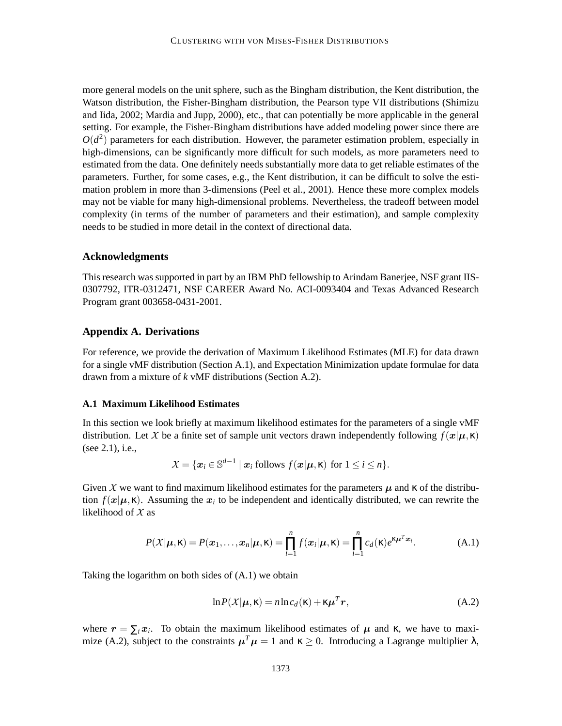more general models on the unit sphere, such as the Bingham distribution, the Kent distribution, the Watson distribution, the Fisher-Bingham distribution, the Pearson type VII distributions (Shimizu and Iida, 2002; Mardia and Jupp, 2000), etc., that can potentially be more applicable in the general setting. For example, the Fisher-Bingham distributions have added modeling power since there are  $O(d^2)$  parameters for each distribution. However, the parameter estimation problem, especially in high-dimensions, can be significantly more difficult for such models, as more parameters need to estimated from the data. One definitely needs substantially more data to get reliable estimates of the parameters. Further, for some cases, e.g., the Kent distribution, it can be difficult to solve the estimation problem in more than 3-dimensions (Peel et al., 2001). Hence these more complex models may not be viable for many high-dimensional problems. Nevertheless, the tradeoff between model complexity (in terms of the number of parameters and their estimation), and sample complexity needs to be studied in more detail in the context of directional data.

## **Acknowledgments**

This research was supported in part by an IBM PhD fellowship to Arindam Banerjee, NSF grant IIS-0307792, ITR-0312471, NSF CAREER Award No. ACI-0093404 and Texas Advanced Research Program grant 003658-0431-2001.

## **Appendix A. Derivations**

For reference, we provide the derivation of Maximum Likelihood Estimates (MLE) for data drawn for a single vMF distribution (Section A.1), and Expectation Minimization update formulae for data drawn from a mixture of *k* vMF distributions (Section A.2).

#### **A.1 Maximum Likelihood Estimates**

In this section we look briefly at maximum likelihood estimates for the parameters of a single vMF distribution. Let X be a finite set of sample unit vectors drawn independently following  $f(x|\mu, \kappa)$ (see 2.1), i.e.,

$$
X = \{ \boldsymbol{x}_i \in \mathbb{S}^{d-1} \mid \boldsymbol{x}_i \text{ follows } f(\boldsymbol{x}|\boldsymbol{\mu}, \boldsymbol{\kappa}) \text{ for } 1 \leq i \leq n \}.
$$

Given X we want to find maximum likelihood estimates for the parameters  $\mu$  and  $\kappa$  of the distribution  $f(x|\mu, \kappa)$ . Assuming the  $x_i$  to be independent and identically distributed, we can rewrite the likelihood of  $X$  as

$$
P(X|\boldsymbol{\mu}, \kappa) = P(\boldsymbol{x}_1, \dots, \boldsymbol{x}_n | \boldsymbol{\mu}, \kappa) = \prod_{i=1}^n f(\boldsymbol{x}_i | \boldsymbol{\mu}, \kappa) = \prod_{i=1}^n c_d(\kappa) e^{\kappa \boldsymbol{\mu}^T \boldsymbol{x}_i}.
$$
 (A.1)

Taking the logarithm on both sides of (A.1) we obtain

$$
\ln P(X|\mu, \mathbf{\kappa}) = n \ln c_d(\mathbf{\kappa}) + \kappa \mu^T r,
$$
\n(A.2)

where  $r = \sum_i x_i$ . To obtain the maximum likelihood estimates of  $\mu$  and  $\kappa$ , we have to maximize (A.2), subject to the constraints  $\mu^T \mu = 1$  and  $\kappa \ge 0$ . Introducing a Lagrange multiplier  $\lambda$ ,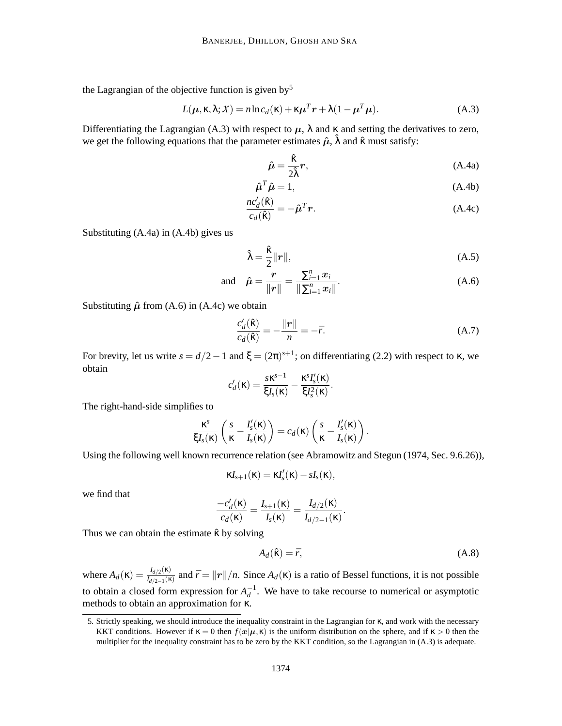the Lagrangian of the objective function is given by<sup>5</sup>

$$
L(\boldsymbol{\mu}, \kappa, \lambda; X) = n \ln c_d(\kappa) + \kappa \boldsymbol{\mu}^T \boldsymbol{r} + \lambda (1 - \boldsymbol{\mu}^T \boldsymbol{\mu}).
$$
 (A.3)

Differentiating the Lagrangian (A.3) with respect to  $\mu$ ,  $\lambda$  and  $\kappa$  and setting the derivatives to zero, we get the following equations that the parameter estimates  $\hat{\mu}$ ,  $\hat{\lambda}$  and  $\hat{\kappa}$  must satisfy:

$$
\hat{\mu} = \frac{\hat{\kappa}}{2\hat{\lambda}}r,
$$
\n(A.4a)

$$
\hat{\mu}^T \hat{\mu} = 1,\tag{A.4b}
$$

$$
\frac{nc_d'(\hat{\mathbf{k}})}{c_d(\hat{\mathbf{k}})} = -\hat{\boldsymbol{\mu}}^T \boldsymbol{r}.
$$
\n(A.4c)

Substituting (A.4a) in (A.4b) gives us

$$
\hat{\lambda} = \frac{\hat{\kappa}}{2} ||r||, \tag{A.5}
$$

and 
$$
\hat{\mu} = \frac{\mathbf{r}}{\|\mathbf{r}\|} = \frac{\sum_{i=1}^{n} x_i}{\|\sum_{i=1}^{n} x_i\|}.
$$
 (A.6)

Substituting  $\hat{\mu}$  from (A.6) in (A.4c) we obtain

$$
\frac{c'_d(\hat{\mathbf{k}})}{c_d(\hat{\mathbf{k}})} = -\frac{\|\mathbf{r}\|}{n} = -\bar{r}.\tag{A.7}
$$

For brevity, let us write  $s = d/2 - 1$  and  $\xi = (2\pi)^{s+1}$ ; on differentiating (2.2) with respect to  $\kappa$ , we obtain

$$
c'_d(\kappa) = \frac{s\kappa^{s-1}}{\xi I_s(\kappa)} - \frac{\kappa^s I'_s(\kappa)}{\xi I_s^2(\kappa)}.
$$

The right-hand-side simplifies to

$$
\frac{\kappa^s}{\xi I_s(\kappa)}\left(\frac{s}{\kappa}-\frac{I_s'(\kappa)}{I_s(\kappa)}\right)=c_d(\kappa)\left(\frac{s}{\kappa}-\frac{I_s'(\kappa)}{I_s(\kappa)}\right).
$$

Using the following well known recurrence relation (see Abramowitz and Stegun (1974, Sec. 9.6.26)),

$$
\kappa I_{s+1}(\kappa) = \kappa I'_{s}(\kappa) - sI_{s}(\kappa),
$$

we find that

$$
\frac{-c'_d(\kappa)}{c_d(\kappa)} = \frac{I_{s+1}(\kappa)}{I_s(\kappa)} = \frac{I_{d/2}(\kappa)}{I_{d/2-1}(\kappa)}.
$$

Thus we can obtain the estimate  $\hat{\kappa}$  by solving

$$
A_d(\hat{\mathbf{k}}) = \bar{r},\tag{A.8}
$$

where  $A_d(\kappa) = \frac{I_{d/2}(\kappa)}{I_{d/2-1}(\kappa)}$  $I_{d/2-(\kappa)}$  and  $\bar{r} = ||r||/n$ . Since  $A_d(\kappa)$  is a ratio of Bessel functions, it is not possible to obtain a closed form expression for  $A_d^{-1}$ . We have to take recourse to numerical or asymptotic methods to obtain an approximation for κ.

<sup>5.</sup> Strictly speaking, we should introduce the inequality constraint in the Lagrangian for κ, and work with the necessary KKT conditions. However if  $\kappa = 0$  then  $f(x|\mu, \kappa)$  is the uniform distribution on the sphere, and if  $\kappa > 0$  then the multiplier for the inequality constraint has to be zero by the KKT condition, so the Lagrangian in (A.3) is adequate.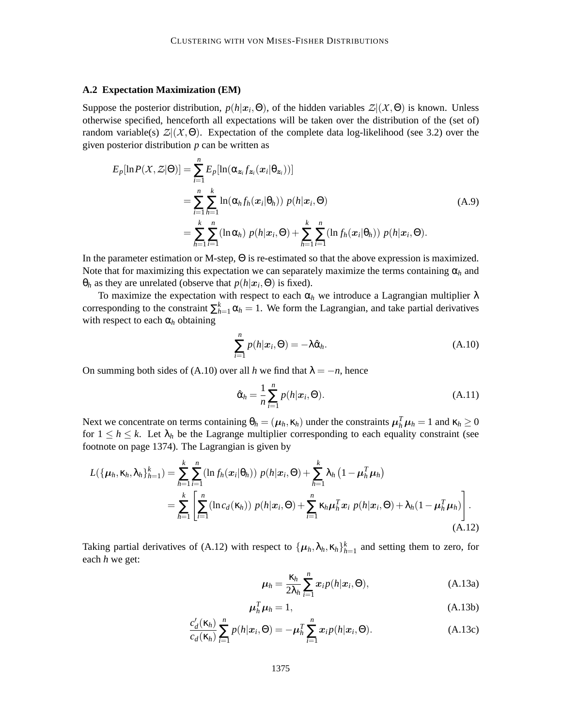#### **A.2 Expectation Maximization (EM)**

Suppose the posterior distribution,  $p(h|x_i, \Theta)$ , of the hidden variables  $\mathcal{Z} | (\mathcal{X}, \Theta)$  is known. Unless otherwise specified, henceforth all expectations will be taken over the distribution of the (set of) random variable(s)  $\mathcal{Z}(\mathcal{X},\Theta)$ . Expectation of the complete data log-likelihood (see 3.2) over the given posterior distribution *p* can be written as

$$
E_p[\ln P(X, Z|\Theta)] = \sum_{i=1}^n E_p[\ln(\alpha_{\mathbf{z}_i} f_{\mathbf{z}_i}(\mathbf{x}_i | \theta_{\mathbf{z}_i}))]
$$
  
\n
$$
= \sum_{i=1}^n \sum_{h=1}^k \ln(\alpha_h f_h(\mathbf{x}_i | \theta_h)) p(h|\mathbf{x}_i, \Theta)
$$
  
\n
$$
= \sum_{h=1}^k \sum_{i=1}^n (\ln \alpha_h) p(h|\mathbf{x}_i, \Theta) + \sum_{h=1}^k \sum_{i=1}^n (\ln f_h(\mathbf{x}_i | \theta_h)) p(h|\mathbf{x}_i, \Theta).
$$
\n(A.9)

In the parameter estimation or M-step, Θ is re-estimated so that the above expression is maximized. Note that for maximizing this expectation we can separately maximize the terms containing  $\alpha_h$  and  $θ<sub>h</sub>$  as they are unrelated (observe that *p*(*h*| $x<sub>i</sub>$ ,  $Θ$ ) is fixed).

To maximize the expectation with respect to each  $\alpha_h$  we introduce a Lagrangian multiplier  $\lambda$ corresponding to the constraint  $\sum_{h=1}^{k} \alpha_h = 1$ . We form the Lagrangian, and take partial derivatives with respect to each  $\alpha_h$  obtaining

$$
\sum_{i=1}^{n} p(h|\boldsymbol{x}_i, \boldsymbol{\Theta}) = -\lambda \hat{\boldsymbol{\alpha}}_h.
$$
\n(A.10)

On summing both sides of (A.10) over all *h* we find that  $\lambda = -n$ , hence

$$
\hat{\alpha}_h = \frac{1}{n} \sum_{i=1}^n p(h | x_i, \Theta). \tag{A.11}
$$

Next we concentrate on terms containing  $\theta_h = (\mu_h, \kappa_h)$  under the constraints  $\mu_h^T \mu_h = 1$  and  $\kappa_h \ge 0$ for  $1 \leq h \leq k$ . Let  $\lambda_h$  be the Lagrange multiplier corresponding to each equality constraint (see footnote on page 1374). The Lagrangian is given by

$$
L(\{\boldsymbol{\mu}_h, \kappa_h, \lambda_h\}_{h=1}^k) = \sum_{h=1}^k \sum_{i=1}^n (\ln f_h(\boldsymbol{x}_i | \boldsymbol{\theta}_h)) \ p(h | \boldsymbol{x}_i, \boldsymbol{\Theta}) + \sum_{h=1}^k \lambda_h (1 - \boldsymbol{\mu}_h^T \boldsymbol{\mu}_h)
$$
  
= 
$$
\sum_{h=1}^k \left[ \sum_{i=1}^n (\ln c_d(\kappa_h)) \ p(h | \boldsymbol{x}_i, \boldsymbol{\Theta}) + \sum_{i=1}^n \kappa_h \boldsymbol{\mu}_h^T \boldsymbol{x}_i \ p(h | \boldsymbol{x}_i, \boldsymbol{\Theta}) + \lambda_h (1 - \boldsymbol{\mu}_h^T \boldsymbol{\mu}_h) \right].
$$
 (A.12)

Taking partial derivatives of (A.12) with respect to  $\{\mu_h, \lambda_h, \kappa_h\}_{h=1}^k$  and setting them to zero, for each *h* we get:

$$
\mu_h = \frac{\kappa_h}{2\lambda_h} \sum_{i=1}^n x_i p(h|x_i, \Theta), \tag{A.13a}
$$

$$
\mu_h^T \mu_h = 1, \tag{A.13b}
$$

$$
\frac{c'_d(\kappa_h)}{c_d(\kappa_h)}\sum_{i=1}^n p(h|\boldsymbol{x}_i,\Theta) = -\boldsymbol{\mu}_h^T \sum_{i=1}^n \boldsymbol{x}_i p(h|\boldsymbol{x}_i,\Theta). \tag{A.13c}
$$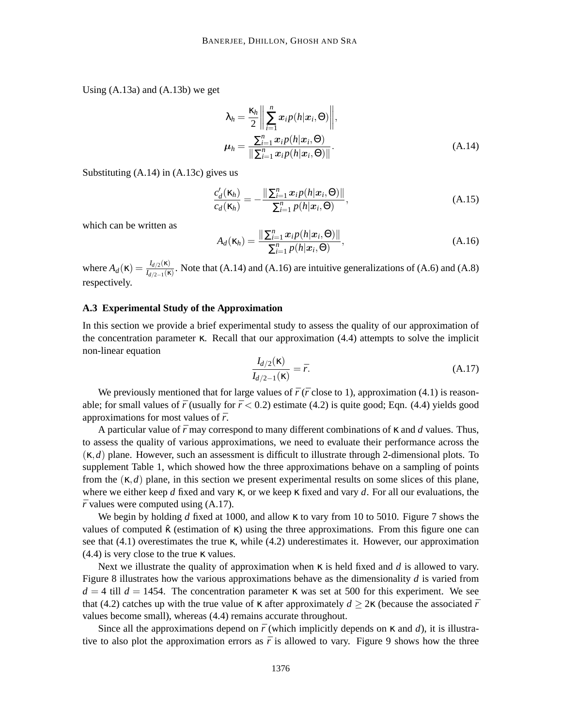Using (A.13a) and (A.13b) we get

$$
\lambda_h = \frac{\kappa_h}{2} \left\| \sum_{i=1}^n x_i p(h | x_i, \Theta) \right\|,
$$
  

$$
\mu_h = \frac{\sum_{i=1}^n x_i p(h | x_i, \Theta)}{\left\| \sum_{i=1}^n x_i p(h | x_i, \Theta) \right\|}.
$$
 (A.14)

Substituting (A.14) in (A.13c) gives us

$$
\frac{c_d'(\kappa_h)}{c_d(\kappa_h)} = -\frac{\|\sum_{i=1}^n x_i p(h|\mathbf{x}_i, \Theta)\|}{\sum_{i=1}^n p(h|\mathbf{x}_i, \Theta)},
$$
\n(A.15)

which can be written as

$$
A_d(\kappa_h) = \frac{\|\sum_{i=1}^n x_i p(h|x_i, \Theta)\|}{\sum_{i=1}^n p(h|x_i, \Theta)},
$$
\n(A.16)

where  $A_d(\kappa) = \frac{I_{d/2}(\kappa)}{I_{d/2,1}(\kappa)}$  $I_{d/2-(\kappa)}^{I_{d/2}(\kappa)}$ . Note that (A.14) and (A.16) are intuitive generalizations of (A.6) and (A.8) respectively.

### **A.3 Experimental Study of the Approximation**

In this section we provide a brief experimental study to assess the quality of our approximation of the concentration parameter κ. Recall that our approximation (4.4) attempts to solve the implicit non-linear equation

$$
\frac{I_{d/2}(\kappa)}{I_{d/2-1}(\kappa)} = \bar{r}.\tag{A.17}
$$

We previously mentioned that for large values of  $\bar{r}$  ( $\bar{r}$  close to 1), approximation (4.1) is reasonable; for small values of  $\bar{r}$  (usually for  $\bar{r}$  < 0.2) estimate (4.2) is quite good; Eqn. (4.4) yields good approximations for most values of  $\bar{r}$ .

A particular value of ¯*r* may correspond to many different combinations of κ and *d* values. Thus, to assess the quality of various approximations, we need to evaluate their performance across the (κ,*d*) plane. However, such an assessment is difficult to illustrate through 2-dimensional plots. To supplement Table 1, which showed how the three approximations behave on a sampling of points from the  $(\kappa, d)$  plane, in this section we present experimental results on some slices of this plane, where we either keep *d* fixed and vary κ, or we keep κ fixed and vary *d*. For all our evaluations, the  $\bar{r}$  values were computed using (A.17).

We begin by holding *d* fixed at 1000, and allow κ to vary from 10 to 5010. Figure 7 shows the values of computed  $\hat{\kappa}$  (estimation of  $\kappa$ ) using the three approximations. From this figure one can see that  $(4.1)$  overestimates the true  $\kappa$ , while  $(4.2)$  underestimates it. However, our approximation  $(4.4)$  is very close to the true  $\kappa$  values.

Next we illustrate the quality of approximation when κ is held fixed and *d* is allowed to vary. Figure 8 illustrates how the various approximations behave as the dimensionality *d* is varied from  $d = 4$  till  $d = 1454$ . The concentration parameter  $\kappa$  was set at 500 for this experiment. We see that (4.2) catches up with the true value of  $\kappa$  after approximately  $d \geq 2\kappa$  (because the associated  $\bar{r}$ values become small), whereas (4.4) remains accurate throughout.

Since all the approximations depend on  $\bar{r}$  (which implicitly depends on  $\kappa$  and *d*), it is illustrative to also plot the approximation errors as  $\bar{r}$  is allowed to vary. Figure 9 shows how the three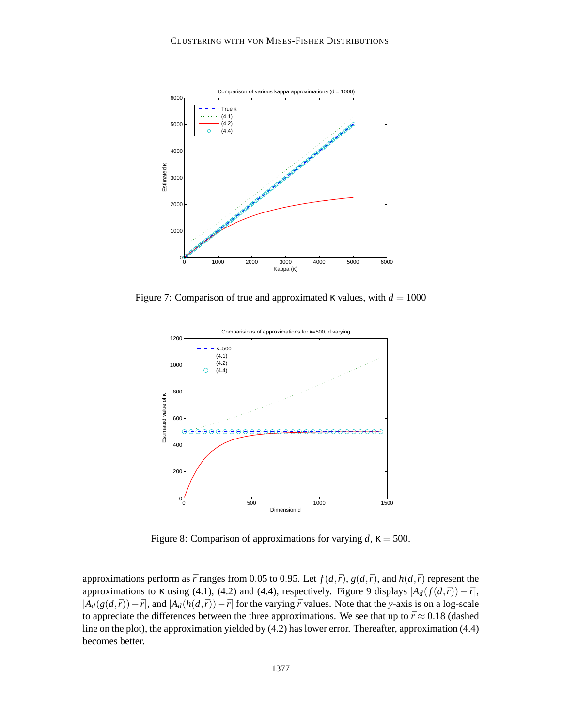

Figure 7: Comparison of true and approximated  $\kappa$  values, with  $d = 1000$ 



Figure 8: Comparison of approximations for varying  $d$ ,  $\kappa = 500$ .

approximations perform as  $\bar{r}$  ranges from 0.05 to 0.95. Let  $f(d,\bar{r})$ ,  $g(d,\bar{r})$ , and  $h(d,\bar{r})$  represent the approximations to  $\kappa$  using (4.1), (4.2) and (4.4), respectively. Figure 9 displays  $|A_d(f(d,\bar{r})) - \bar{r}|$ ,  $|A_d(g(d,\bar{r}))-\bar{r}|$ , and  $|A_d(h(d,\bar{r}))-\bar{r}|$  for the varying  $\bar{r}$  values. Note that the *y*-axis is on a log-scale to appreciate the differences between the three approximations. We see that up to  $\bar{r} \approx 0.18$  (dashed line on the plot), the approximation yielded by (4.2) has lower error. Thereafter, approximation (4.4) becomes better.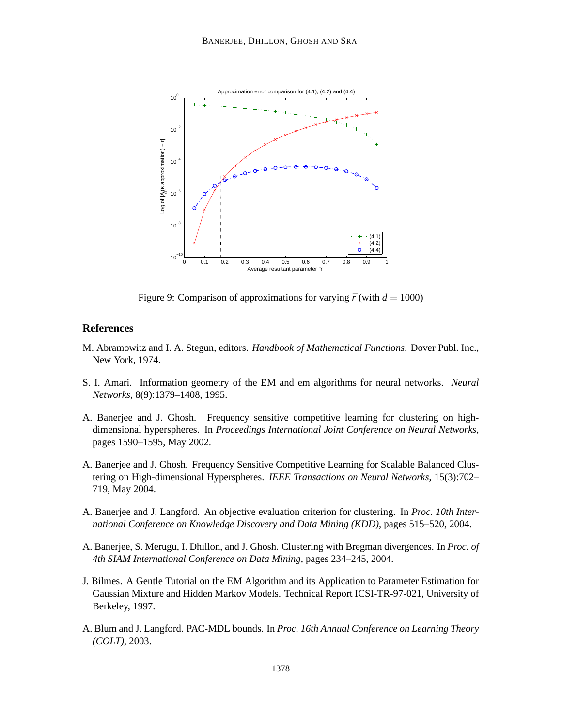

Figure 9: Comparison of approximations for varying  $\bar{r}$  (with  $d = 1000$ )

## **References**

- M. Abramowitz and I. A. Stegun, editors. *Handbook of Mathematical Functions*. Dover Publ. Inc., New York, 1974.
- S. I. Amari. Information geometry of the EM and em algorithms for neural networks. *Neural Networks*, 8(9):1379–1408, 1995.
- A. Banerjee and J. Ghosh. Frequency sensitive competitive learning for clustering on highdimensional hyperspheres. In *Proceedings International Joint Conference on Neural Networks*, pages 1590–1595, May 2002.
- A. Banerjee and J. Ghosh. Frequency Sensitive Competitive Learning for Scalable Balanced Clustering on High-dimensional Hyperspheres. *IEEE Transactions on Neural Networks*, 15(3):702– 719, May 2004.
- A. Banerjee and J. Langford. An objective evaluation criterion for clustering. In *Proc. 10th International Conference on Knowledge Discovery and Data Mining (KDD)*, pages 515–520, 2004.
- A. Banerjee, S. Merugu, I. Dhillon, and J. Ghosh. Clustering with Bregman divergences. In *Proc. of 4th SIAM International Conference on Data Mining*, pages 234–245, 2004.
- J. Bilmes. A Gentle Tutorial on the EM Algorithm and its Application to Parameter Estimation for Gaussian Mixture and Hidden Markov Models. Technical Report ICSI-TR-97-021, University of Berkeley, 1997.
- A. Blum and J. Langford. PAC-MDL bounds. In *Proc. 16th Annual Conference on Learning Theory (COLT)*, 2003.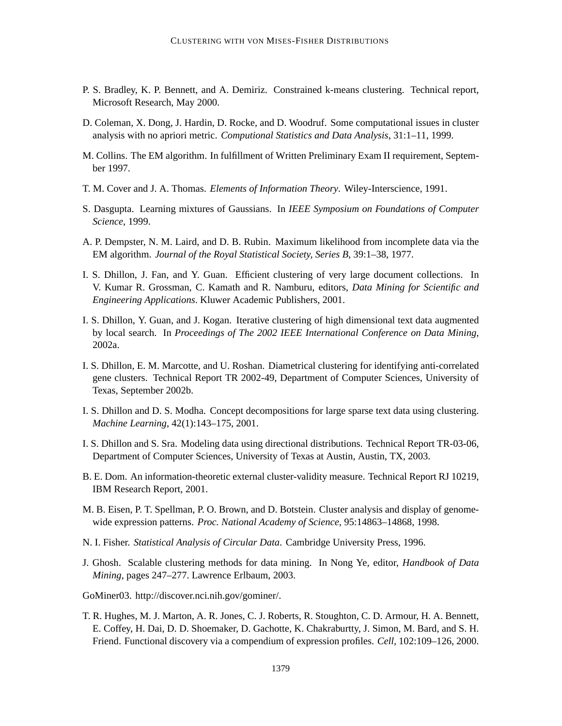- P. S. Bradley, K. P. Bennett, and A. Demiriz. Constrained k-means clustering. Technical report, Microsoft Research, May 2000.
- D. Coleman, X. Dong, J. Hardin, D. Rocke, and D. Woodruf. Some computational issues in cluster analysis with no apriori metric. *Computional Statistics and Data Analysis*, 31:1–11, 1999.
- M. Collins. The EM algorithm. In fulfillment of Written Preliminary Exam II requirement, September 1997.
- T. M. Cover and J. A. Thomas. *Elements of Information Theory*. Wiley-Interscience, 1991.
- S. Dasgupta. Learning mixtures of Gaussians. In *IEEE Symposium on Foundations of Computer Science*, 1999.
- A. P. Dempster, N. M. Laird, and D. B. Rubin. Maximum likelihood from incomplete data via the EM algorithm. *Journal of the Royal Statistical Society, Series B*, 39:1–38, 1977.
- I. S. Dhillon, J. Fan, and Y. Guan. Efficient clustering of very large document collections. In V. Kumar R. Grossman, C. Kamath and R. Namburu, editors, *Data Mining for Scientific and Engineering Applications*. Kluwer Academic Publishers, 2001.
- I. S. Dhillon, Y. Guan, and J. Kogan. Iterative clustering of high dimensional text data augmented by local search. In *Proceedings of The 2002 IEEE International Conference on Data Mining*, 2002a.
- I. S. Dhillon, E. M. Marcotte, and U. Roshan. Diametrical clustering for identifying anti-correlated gene clusters. Technical Report TR 2002-49, Department of Computer Sciences, University of Texas, September 2002b.
- I. S. Dhillon and D. S. Modha. Concept decompositions for large sparse text data using clustering. *Machine Learning*, 42(1):143–175, 2001.
- I. S. Dhillon and S. Sra. Modeling data using directional distributions. Technical Report TR-03-06, Department of Computer Sciences, University of Texas at Austin, Austin, TX, 2003.
- B. E. Dom. An information-theoretic external cluster-validity measure. Technical Report RJ 10219, IBM Research Report, 2001.
- M. B. Eisen, P. T. Spellman, P. O. Brown, and D. Botstein. Cluster analysis and display of genomewide expression patterns. *Proc. National Academy of Science*, 95:14863–14868, 1998.
- N. I. Fisher. *Statistical Analysis of Circular Data*. Cambridge University Press, 1996.
- J. Ghosh. Scalable clustering methods for data mining. In Nong Ye, editor, *Handbook of Data Mining*, pages 247–277. Lawrence Erlbaum, 2003.
- GoMiner03. http://discover.nci.nih.gov/gominer/.
- T. R. Hughes, M. J. Marton, A. R. Jones, C. J. Roberts, R. Stoughton, C. D. Armour, H. A. Bennett, E. Coffey, H. Dai, D. D. Shoemaker, D. Gachotte, K. Chakraburtty, J. Simon, M. Bard, and S. H. Friend. Functional discovery via a compendium of expression profiles. *Cell*, 102:109–126, 2000.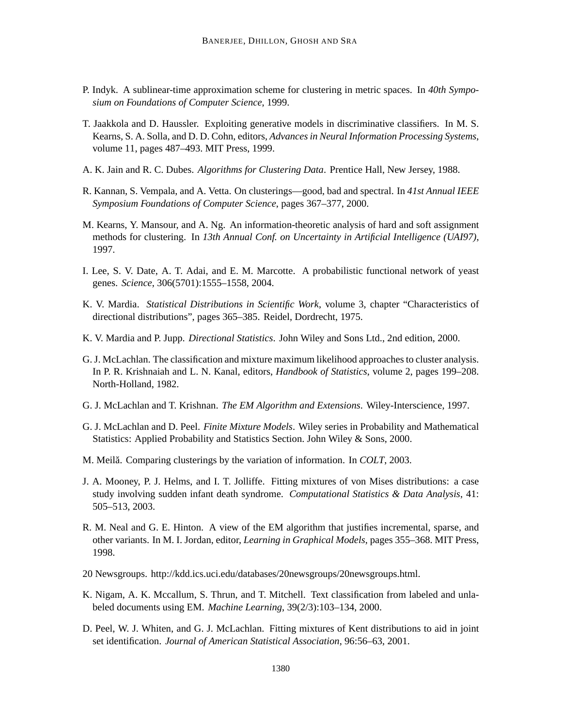- P. Indyk. A sublinear-time approximation scheme for clustering in metric spaces. In *40th Symposium on Foundations of Computer Science*, 1999.
- T. Jaakkola and D. Haussler. Exploiting generative models in discriminative classifiers. In M. S. Kearns, S. A. Solla, and D. D. Cohn, editors, *Advances in Neural Information Processing Systems*, volume 11, pages 487–493. MIT Press, 1999.
- A. K. Jain and R. C. Dubes. *Algorithms for Clustering Data*. Prentice Hall, New Jersey, 1988.
- R. Kannan, S. Vempala, and A. Vetta. On clusterings—good, bad and spectral. In *41st Annual IEEE Symposium Foundations of Computer Science*, pages 367–377, 2000.
- M. Kearns, Y. Mansour, and A. Ng. An information-theoretic analysis of hard and soft assignment methods for clustering. In *13th Annual Conf. on Uncertainty in Artificial Intelligence (UAI97)*, 1997.
- I. Lee, S. V. Date, A. T. Adai, and E. M. Marcotte. A probabilistic functional network of yeast genes. *Science*, 306(5701):1555–1558, 2004.
- K. V. Mardia. *Statistical Distributions in Scientific Work*, volume 3, chapter "Characteristics of directional distributions", pages 365–385. Reidel, Dordrecht, 1975.
- K. V. Mardia and P. Jupp. *Directional Statistics*. John Wiley and Sons Ltd., 2nd edition, 2000.
- G. J. McLachlan. The classification and mixture maximum likelihood approaches to cluster analysis. In P. R. Krishnaiah and L. N. Kanal, editors, *Handbook of Statistics*, volume 2, pages 199–208. North-Holland, 1982.
- G. J. McLachlan and T. Krishnan. *The EM Algorithm and Extensions*. Wiley-Interscience, 1997.
- G. J. McLachlan and D. Peel. *Finite Mixture Models*. Wiley series in Probability and Mathematical Statistics: Applied Probability and Statistics Section. John Wiley & Sons, 2000.
- M. Meilă. Comparing clusterings by the variation of information. In *COLT*, 2003.
- J. A. Mooney, P. J. Helms, and I. T. Jolliffe. Fitting mixtures of von Mises distributions: a case study involving sudden infant death syndrome. *Computational Statistics & Data Analysis*, 41: 505–513, 2003.
- R. M. Neal and G. E. Hinton. A view of the EM algorithm that justifies incremental, sparse, and other variants. In M. I. Jordan, editor, *Learning in Graphical Models*, pages 355–368. MIT Press, 1998.
- 20 Newsgroups. http://kdd.ics.uci.edu/databases/20newsgroups/20newsgroups.html.
- K. Nigam, A. K. Mccallum, S. Thrun, and T. Mitchell. Text classification from labeled and unlabeled documents using EM. *Machine Learning*, 39(2/3):103–134, 2000.
- D. Peel, W. J. Whiten, and G. J. McLachlan. Fitting mixtures of Kent distributions to aid in joint set identification. *Journal of American Statistical Association*, 96:56–63, 2001.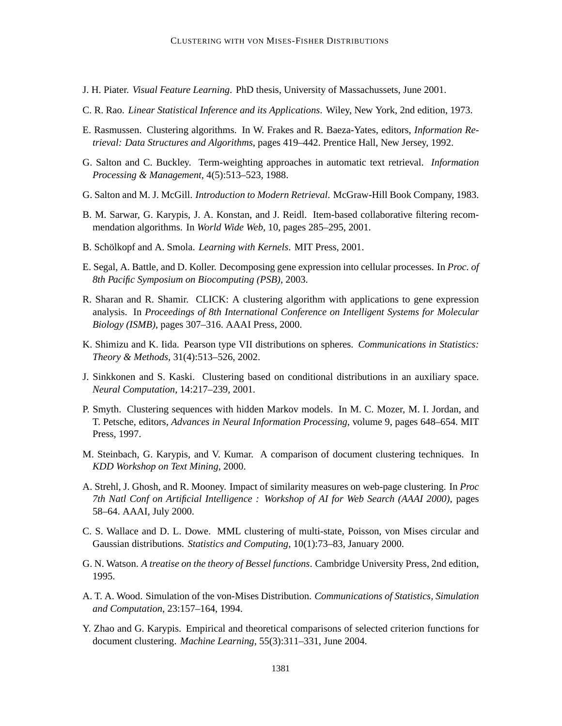- J. H. Piater. *Visual Feature Learning*. PhD thesis, University of Massachussets, June 2001.
- C. R. Rao. *Linear Statistical Inference and its Applications*. Wiley, New York, 2nd edition, 1973.
- E. Rasmussen. Clustering algorithms. In W. Frakes and R. Baeza-Yates, editors, *Information Retrieval: Data Structures and Algorithms*, pages 419–442. Prentice Hall, New Jersey, 1992.
- G. Salton and C. Buckley. Term-weighting approaches in automatic text retrieval. *Information Processing & Management*, 4(5):513–523, 1988.
- G. Salton and M. J. McGill. *Introduction to Modern Retrieval*. McGraw-Hill Book Company, 1983.
- B. M. Sarwar, G. Karypis, J. A. Konstan, and J. Reidl. Item-based collaborative filtering recommendation algorithms. In *World Wide Web*, 10, pages 285–295, 2001.
- B. Schölkopf and A. Smola. *Learning with Kernels*. MIT Press, 2001.
- E. Segal, A. Battle, and D. Koller. Decomposing gene expression into cellular processes. In *Proc. of 8th Pacific Symposium on Biocomputing (PSB)*, 2003.
- R. Sharan and R. Shamir. CLICK: A clustering algorithm with applications to gene expression analysis. In *Proceedings of 8th International Conference on Intelligent Systems for Molecular Biology (ISMB)*, pages 307–316. AAAI Press, 2000.
- K. Shimizu and K. Iida. Pearson type VII distributions on spheres. *Communications in Statistics: Theory & Methods*, 31(4):513–526, 2002.
- J. Sinkkonen and S. Kaski. Clustering based on conditional distributions in an auxiliary space. *Neural Computation*, 14:217–239, 2001.
- P. Smyth. Clustering sequences with hidden Markov models. In M. C. Mozer, M. I. Jordan, and T. Petsche, editors, *Advances in Neural Information Processing*, volume 9, pages 648–654. MIT Press, 1997.
- M. Steinbach, G. Karypis, and V. Kumar. A comparison of document clustering techniques. In *KDD Workshop on Text Mining*, 2000.
- A. Strehl, J. Ghosh, and R. Mooney. Impact of similarity measures on web-page clustering. In *Proc 7th Natl Conf on Artificial Intelligence : Workshop of AI for Web Search (AAAI 2000)*, pages 58–64. AAAI, July 2000.
- C. S. Wallace and D. L. Dowe. MML clustering of multi-state, Poisson, von Mises circular and Gaussian distributions. *Statistics and Computing*, 10(1):73–83, January 2000.
- G. N. Watson. *A treatise on the theory of Bessel functions*. Cambridge University Press, 2nd edition, 1995.
- A. T. A. Wood. Simulation of the von-Mises Distribution. *Communications of Statistics, Simulation and Computation*, 23:157–164, 1994.
- Y. Zhao and G. Karypis. Empirical and theoretical comparisons of selected criterion functions for document clustering. *Machine Learning*, 55(3):311–331, June 2004.